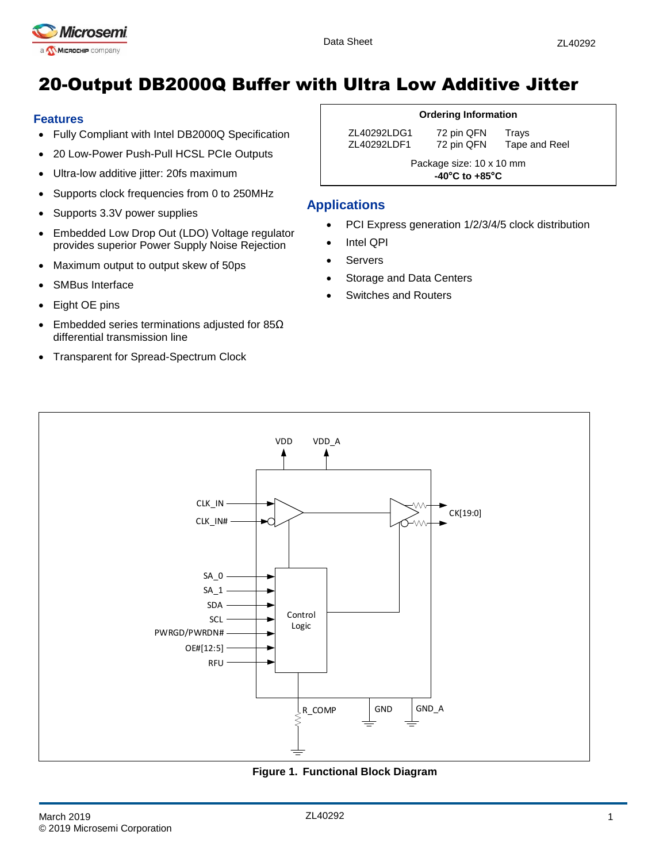

# 20-Output DB2000Q Buffer with Ultra Low Additive Jitter

## <span id="page-0-0"></span>**Features**

- Fully Compliant with Intel DB2000Q Specification
- 20 Low-Power Push-Pull HCSL PCIe Outputs
- Ultra-low additive jitter: 20fs maximum
- Supports clock frequencies from 0 to 250MHz
- Supports 3.3V power supplies
- Embedded Low Drop Out (LDO) Voltage regulator provides superior Power Supply Noise Rejection
- Maximum output to output skew of 50ps
- SMBus Interface
- Eight OE pins
- Embedded series terminations adjusted for  $85Ω$ differential transmission line
- Transparent for Spread-Spectrum Clock

#### **Ordering Information**

ZL40292LDG1 72 pin QFN Trays<br>ZL40292LDF1 72 pin QFN Tape

Tape and Reel

Package size: 10 x 10 mm **-40C to +85C**

# <span id="page-0-1"></span>**Applications**

- PCI Express generation 1/2/3/4/5 clock distribution
- Intel QPI
- **Servers**
- Storage and Data Centers
- Switches and Routers



<span id="page-0-2"></span>**Figure 1. Functional Block Diagram**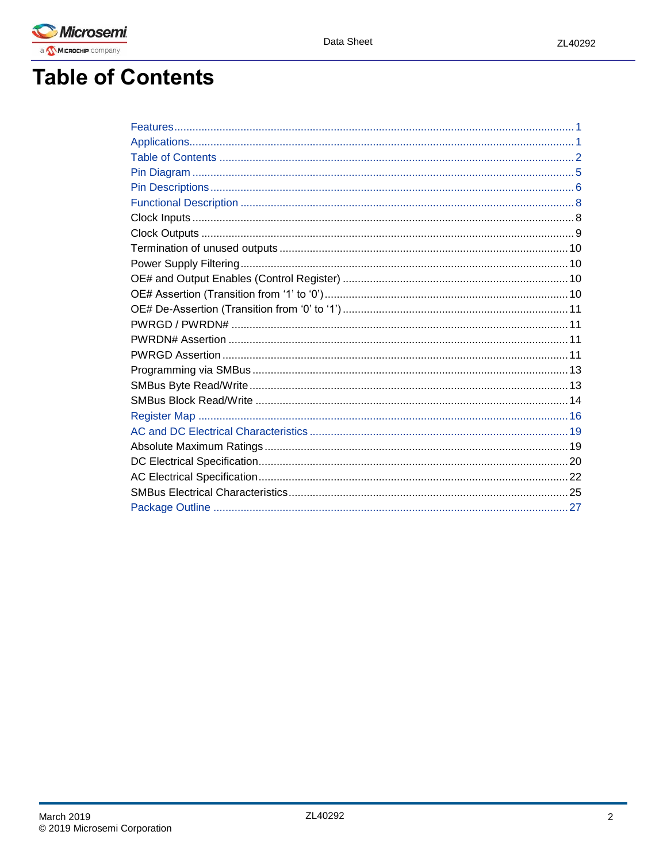

# <span id="page-1-0"></span>**Table of Contents**

Microsemi

a Microchip company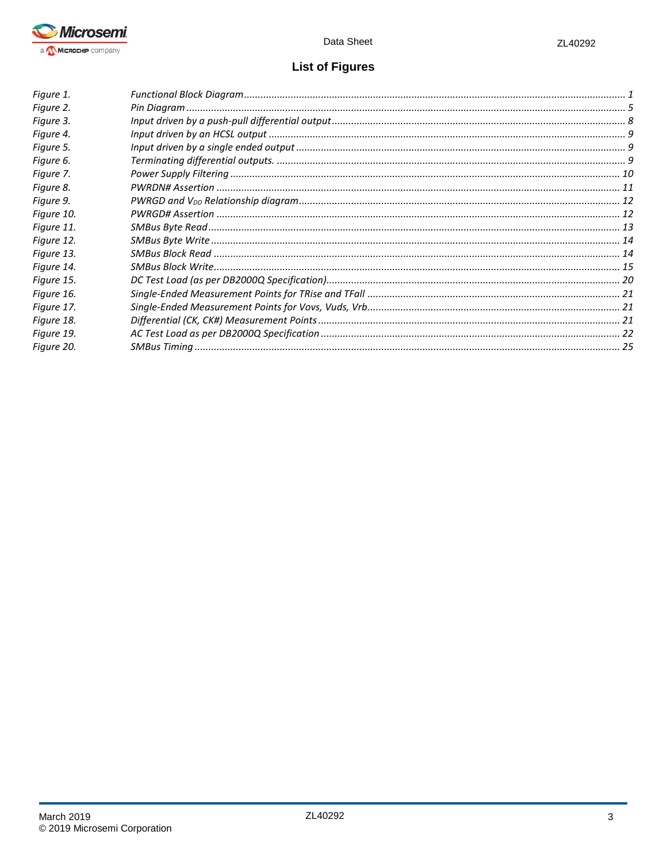

# **List of Figures**

| Figure 1.  |  |
|------------|--|
| Figure 2.  |  |
| Figure 3.  |  |
| Figure 4.  |  |
| Figure 5.  |  |
| Figure 6.  |  |
| Figure 7.  |  |
| Figure 8.  |  |
| Figure 9.  |  |
| Figure 10. |  |
| Figure 11. |  |
| Figure 12. |  |
| Figure 13. |  |
| Figure 14. |  |
| Figure 15. |  |
| Figure 16. |  |
| Figure 17. |  |
| Figure 18. |  |
| Figure 19. |  |
| Figure 20. |  |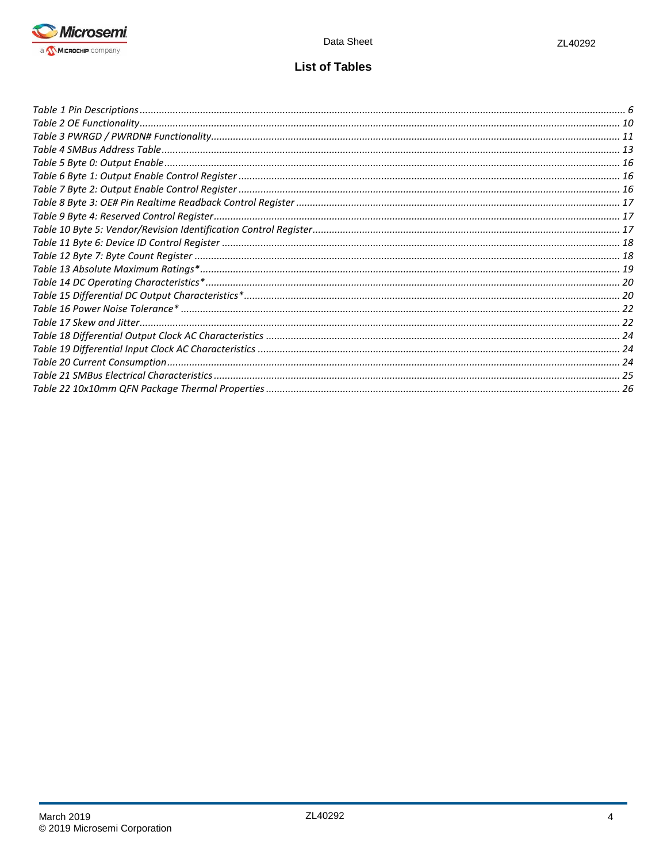

## **List of Tables**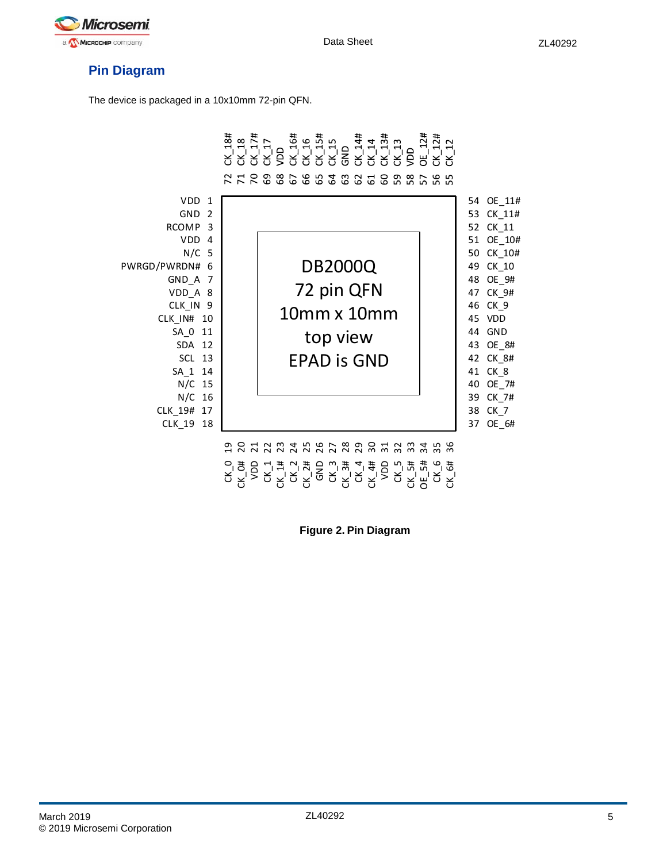

# <span id="page-4-0"></span>**Pin Diagram**

The device is packaged in a 10x10mm 72-pin QFN.



<span id="page-4-1"></span>**Figure 2. Pin Diagram**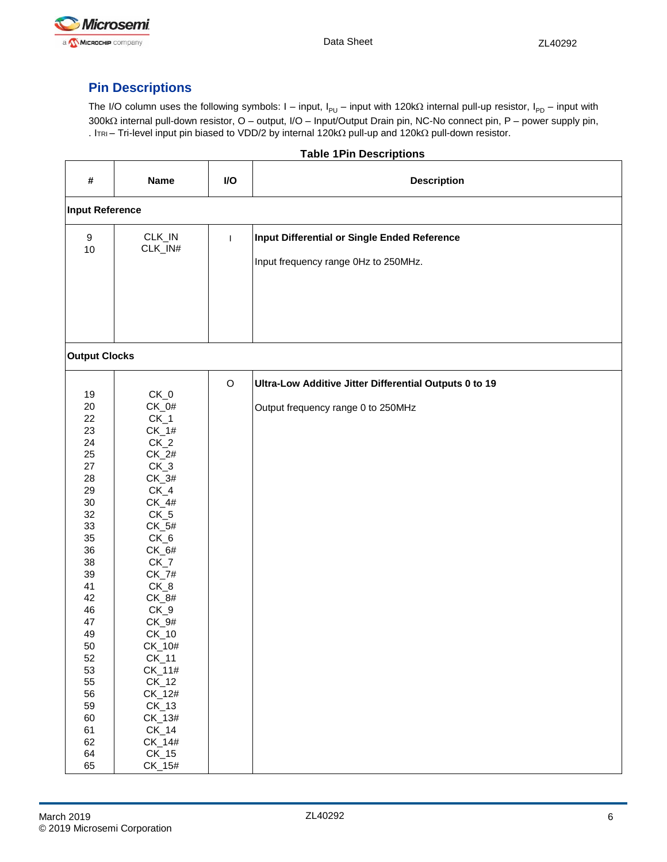



# <span id="page-5-0"></span>**Pin Descriptions**

The I/O column uses the following symbols: I – input, I<sub>PU</sub> – input with 120k $\Omega$  internal pull-up resistor, I<sub>PD</sub> – input with 300kΩ internal pull-down resistor, O – output, I/O – Input/Output Drain pin, NC-No connect pin, P – power supply pin, .  $I_{TRI}$  – Tri-level input pin biased to VDD/2 by internal 120k $\Omega$  pull-up and 120k $\Omega$  pull-down resistor.

<span id="page-5-1"></span>

|                                                                                                                                                                                              | <b>Table 1Pin Descriptions</b>                                                                                                                                                                                                                                                                                                                |              |                                                                                              |  |  |  |
|----------------------------------------------------------------------------------------------------------------------------------------------------------------------------------------------|-----------------------------------------------------------------------------------------------------------------------------------------------------------------------------------------------------------------------------------------------------------------------------------------------------------------------------------------------|--------------|----------------------------------------------------------------------------------------------|--|--|--|
| #                                                                                                                                                                                            | <b>Name</b>                                                                                                                                                                                                                                                                                                                                   | I/O          | <b>Description</b>                                                                           |  |  |  |
| Input Reference                                                                                                                                                                              |                                                                                                                                                                                                                                                                                                                                               |              |                                                                                              |  |  |  |
| $\boldsymbol{9}$<br>10                                                                                                                                                                       | CLK_IN<br>CLK_IN#                                                                                                                                                                                                                                                                                                                             | $\mathbf{I}$ | Input Differential or Single Ended Reference<br>Input frequency range 0Hz to 250MHz.         |  |  |  |
| <b>Output Clocks</b>                                                                                                                                                                         |                                                                                                                                                                                                                                                                                                                                               |              |                                                                                              |  |  |  |
| 19<br>20<br>22<br>23<br>24<br>25<br>27<br>28<br>29<br>30<br>32<br>33<br>35<br>36<br>38<br>39<br>41<br>42<br>46<br>47<br>49<br>50<br>52<br>53<br>55<br>56<br>59<br>60<br>61<br>62<br>64<br>65 | $CK_0$<br>$CK_0#$<br>$CK_1$<br>$CK_1#$<br>$CK_2$<br>$CK_2#$<br>$CK_3$<br>$CK_3#$<br>$CK_4$<br>$CK_4#$<br>$CK_5$<br>$CK_5#$<br>$CK_6$<br>$CK_6#$<br>$CK_7$<br>$CK_7#$<br>$CK_8$<br>$CK_8#$<br>$CK_9$<br>$CK_9#$<br>$CK_10$<br>CK_10#<br>$CK_111$<br>CK_11#<br>$CK_12$<br>CK_12#<br>$CK_13$<br>CK_13#<br>$CK_14$<br>CK_14#<br>$CK_15$<br>CK_15# | $\mathsf O$  | Ultra-Low Additive Jitter Differential Outputs 0 to 19<br>Output frequency range 0 to 250MHz |  |  |  |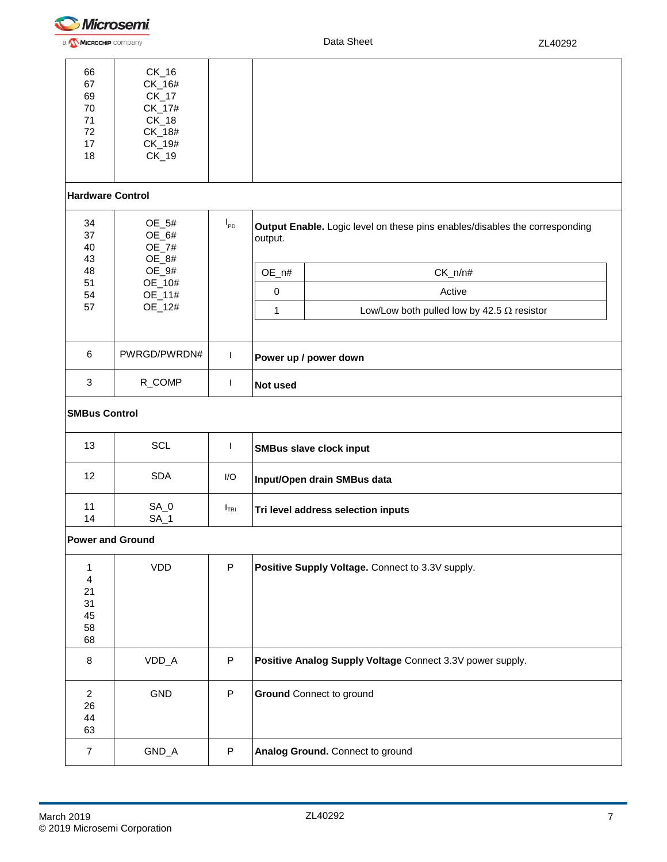

a **Wichochip** company

| 66<br>67<br>69<br>70<br>71<br>72<br>17<br>18 | CK_16<br>CK_16#<br>$CK_17$<br>CK_17#<br>$CK_18$<br>CK_18#<br>CK_19#<br>CK_19 |              |             |                                                                             |
|----------------------------------------------|------------------------------------------------------------------------------|--------------|-------------|-----------------------------------------------------------------------------|
| <b>Hardware Control</b>                      |                                                                              |              |             |                                                                             |
| 34<br>37<br>40<br>43                         | $OE_5#$<br>$OE_6#$<br>OE_7#<br>$OE_8#$                                       | $I_{PD}$     | output.     | Output Enable. Logic level on these pins enables/disables the corresponding |
| 48                                           | $OE_9#$                                                                      |              | $OE_n#$     | $CK_n/n#$                                                                   |
| 51<br>54                                     | OE_10#<br>OE_11#                                                             |              | $\mathbf 0$ | Active                                                                      |
| 57                                           | OE_12#                                                                       |              | 1           | Low/Low both pulled low by 42.5 $\Omega$ resistor                           |
| 6                                            | PWRGD/PWRDN#                                                                 | $\mathbf{I}$ |             | Power up / power down                                                       |
| 3                                            | R_COMP                                                                       | $\mathbf{I}$ | Not used    |                                                                             |
| <b>SMRus Control</b>                         |                                                                              |              |             |                                                                             |

# **SMBUS CONTROL**

| 13       | <b>SCL</b>                      |                  | <b>SMBus slave clock input</b>     |
|----------|---------------------------------|------------------|------------------------------------|
| 12       | <b>SDA</b>                      | I/O              | Input/Open drain SMBus data        |
| 11<br>14 | SA <sub>_0</sub><br><b>SA_1</b> | I <sub>TR1</sub> | Tri level address selection inputs |

# **Power and Ground**

|    | <b>VDD</b> | P | Positive Supply Voltage. Connect to 3.3V supply.          |
|----|------------|---|-----------------------------------------------------------|
| 4  |            |   |                                                           |
| 21 |            |   |                                                           |
| 31 |            |   |                                                           |
| 45 |            |   |                                                           |
| 58 |            |   |                                                           |
| 68 |            |   |                                                           |
| 8  | VDD_A      | P | Positive Analog Supply Voltage Connect 3.3V power supply. |
| 2  | <b>GND</b> | P |                                                           |
| 26 |            |   | <b>Ground</b> Connect to ground                           |
| 44 |            |   |                                                           |
| 63 |            |   |                                                           |
|    |            |   |                                                           |
| 7  | GND A      | P | Analog Ground. Connect to ground                          |

 $\overline{\phantom{a}}$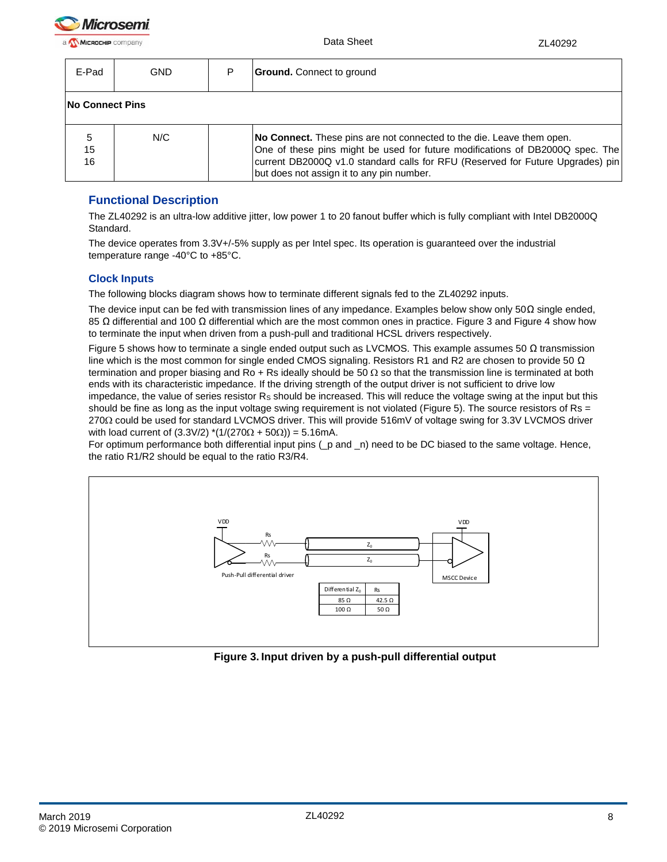

Data Sheet

| E-Pad                  | <b>GND</b> | Р | <b>Ground.</b> Connect to ground                                                                                                                                                                                                                                                             |  |  |
|------------------------|------------|---|----------------------------------------------------------------------------------------------------------------------------------------------------------------------------------------------------------------------------------------------------------------------------------------------|--|--|
| <b>No Connect Pins</b> |            |   |                                                                                                                                                                                                                                                                                              |  |  |
| 5<br>15<br>16          | N/C        |   | <b>No Connect.</b> These pins are not connected to the die. Leave them open.<br>One of these pins might be used for future modifications of DB2000Q spec. The<br>current DB2000Q v1.0 standard calls for RFU (Reserved for Future Upgrades) pin<br>but does not assign it to any pin number. |  |  |

### <span id="page-7-0"></span>**Functional Description**

The ZL40292 is an ultra-low additive jitter, low power 1 to 20 fanout buffer which is fully compliant with Intel DB2000Q Standard.

The device operates from 3.3V+/-5% supply as per Intel spec. Its operation is guaranteed over the industrial temperature range -40°C to +85°C.

#### <span id="page-7-1"></span>**Clock Inputs**

The following blocks diagram shows how to terminate different signals fed to the ZL40292 inputs.

The device input can be fed with transmission lines of any impedance. Examples below show only 50 $\Omega$  single ended, 85 Ω differential and 100 Ω differential which are the most common ones in practice. [Figure 3](#page-7-2) and [Figure 4](#page-8-1) show how to terminate the input when driven from a push-pull and traditional HCSL drivers respectively.

[Figure 5](#page-8-2) shows how to terminate a single ended output such as LVCMOS. This example assumes 50  $\Omega$  transmission line which is the most common for single ended CMOS signaling. Resistors R1 and R2 are chosen to provide 50  $\Omega$ termination and proper biasing and Ro + Rs ideally should be 50  $\Omega$  so that the transmission line is terminated at both ends with its characteristic impedance. If the driving strength of the output driver is not sufficient to drive low impedance, the value of series resistor R<sub>s</sub> should be increased. This will reduce the voltage swing at the input but this should be fine as long as the input voltage swing requirement is not violated [\(Figure 5\)](#page-8-2). The source resistors of Rs = 270 could be used for standard LVCMOS driver. This will provide 516mV of voltage swing for 3.3V LVCMOS driver with load current of  $(3.3 \text{V}/2)$  \* $(1/(270 \Omega + 50 \Omega)) = 5.16 \text{mA}$ .

For optimum performance both differential input pins (\_p and \_n) need to be DC biased to the same voltage. Hence, the ratio R1/R2 should be equal to the ratio R3/R4.



<span id="page-7-2"></span>**Figure 3. Input driven by a push-pull differential output**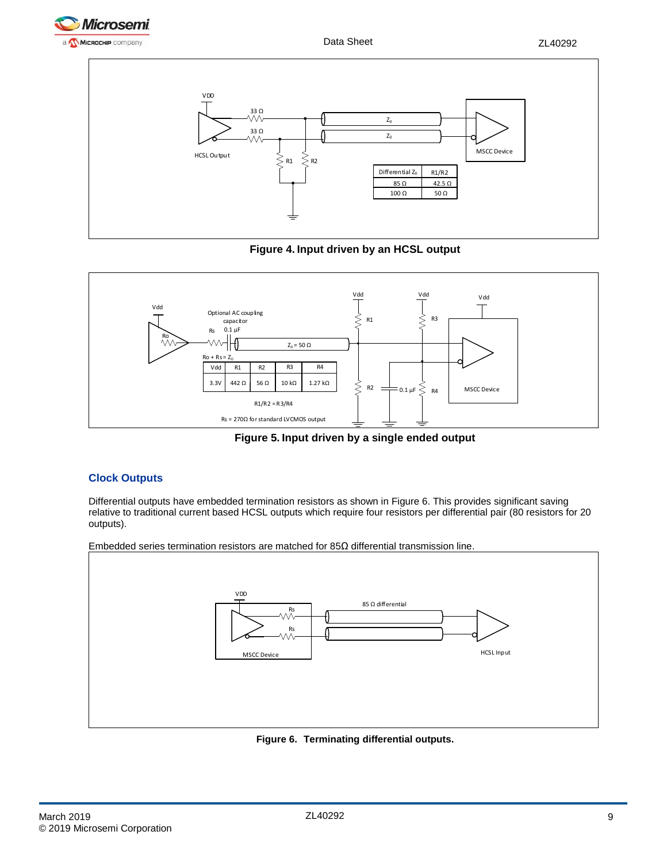



#### **Figure 4. Input driven by an HCSL output**

<span id="page-8-1"></span>

**Figure 5. Input driven by a single ended output**

#### <span id="page-8-2"></span><span id="page-8-0"></span>**Clock Outputs**

Differential outputs have embedded termination resistors as shown in [Figure 6.](#page-8-3) This provides significant saving relative to traditional current based HCSL outputs which require four resistors per differential pair (80 resistors for 20 outputs).





<span id="page-8-3"></span>**Figure 6. Terminating differential outputs.**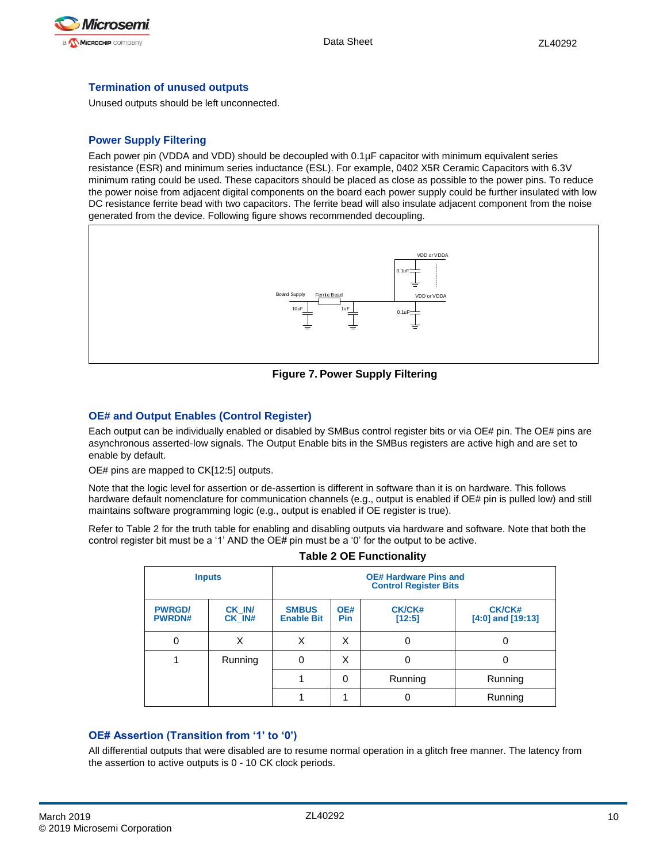

#### <span id="page-9-0"></span>**Termination of unused outputs**

Unused outputs should be left unconnected.

#### <span id="page-9-1"></span>**Power Supply Filtering**

Each power pin (VDDA and VDD) should be decoupled with 0.1µF capacitor with minimum equivalent series resistance (ESR) and minimum series inductance (ESL). For example, 0402 X5R Ceramic Capacitors with 6.3V minimum rating could be used. These capacitors should be placed as close as possible to the power pins. To reduce the power noise from adjacent digital components on the board each power supply could be further insulated with low DC resistance ferrite bead with two capacitors. The ferrite bead will also insulate adjacent component from the noise generated from the device. Following figure shows recommended decoupling.



**Figure 7. Power Supply Filtering**

#### <span id="page-9-4"></span><span id="page-9-2"></span>**OE# and Output Enables (Control Register)**

Each output can be individually enabled or disabled by SMBus control register bits or via OE# pin. The OE# pins are asynchronous asserted-low signals. The Output Enable bits in the SMBus registers are active high and are set to enable by default.

OE# pins are mapped to CK[12:5] outputs.

Note that the logic level for assertion or de-assertion is different in software than it is on hardware. This follows hardware default nomenclature for communication channels (e.g., output is enabled if OE# pin is pulled low) and still maintains software programming logic (e.g., output is enabled if OE register is true).

Refer to [Table 2](#page-9-5) for the truth table for enabling and disabling outputs via hardware and software. Note that both the control register bit must be a '1' AND the OE# pin must be a '0' for the output to be active.

|                                | <b>Inputs</b>    | <b>OE# Hardware Pins and</b><br><b>Control Register Bits</b> |                   |                         |                                        |  |  |  |
|--------------------------------|------------------|--------------------------------------------------------------|-------------------|-------------------------|----------------------------------------|--|--|--|
| <b>PWRGD/</b><br><b>PWRDN#</b> | CK IN/<br>CK IN# | <b>SMBUS</b><br><b>Enable Bit</b>                            | OE#<br><b>Pin</b> | <b>CK/CK#</b><br>[12:5] | <b>CK/CK#</b><br>$[4:0]$ and $[19:13]$ |  |  |  |
|                                | x                | X                                                            | X                 |                         |                                        |  |  |  |
|                                | Running          | 0                                                            | Χ                 |                         |                                        |  |  |  |
|                                |                  |                                                              | 0                 | Running                 | Running                                |  |  |  |
|                                |                  |                                                              |                   |                         | Running                                |  |  |  |

#### <span id="page-9-5"></span>**Table 2 OE Functionality**

#### <span id="page-9-3"></span>**OE# Assertion (Transition from '1' to '0')**

All differential outputs that were disabled are to resume normal operation in a glitch free manner. The latency from the assertion to active outputs is 0 - 10 CK clock periods.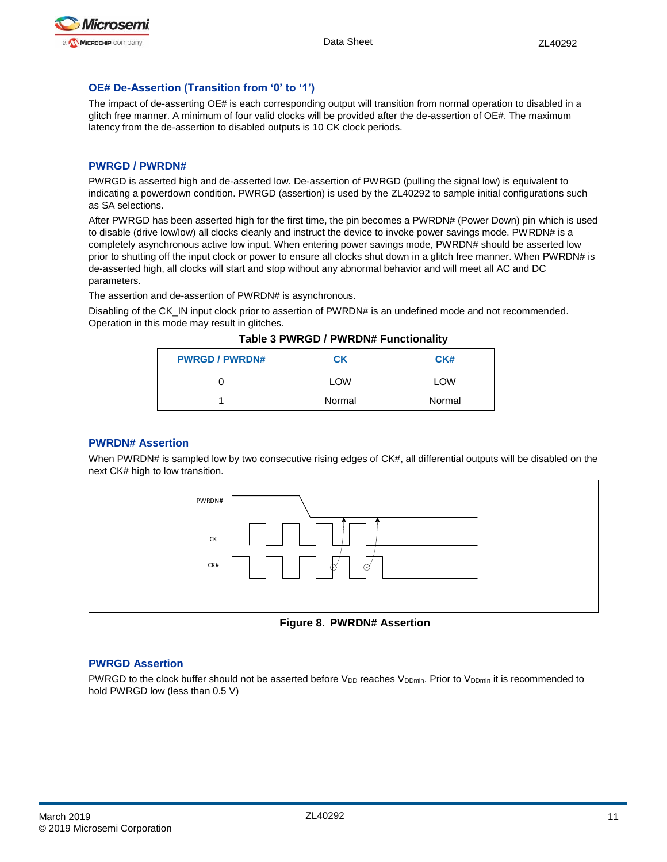

#### <span id="page-10-0"></span>**OE# De-Assertion (Transition from '0' to '1')**

The impact of de-asserting OE# is each corresponding output will transition from normal operation to disabled in a glitch free manner. A minimum of four valid clocks will be provided after the de-assertion of OE#. The maximum latency from the de-assertion to disabled outputs is 10 CK clock periods.

#### <span id="page-10-1"></span>**PWRGD / PWRDN#**

PWRGD is asserted high and de-asserted low. De-assertion of PWRGD (pulling the signal low) is equivalent to indicating a powerdown condition. PWRGD (assertion) is used by the ZL40292 to sample initial configurations such as SA selections.

After PWRGD has been asserted high for the first time, the pin becomes a PWRDN# (Power Down) pin which is used to disable (drive low/low) all clocks cleanly and instruct the device to invoke power savings mode. PWRDN# is a completely asynchronous active low input. When entering power savings mode, PWRDN# should be asserted low prior to shutting off the input clock or power to ensure all clocks shut down in a glitch free manner. When PWRDN# is de-asserted high, all clocks will start and stop without any abnormal behavior and will meet all AC and DC parameters.

The assertion and de-assertion of PWRDN# is asynchronous.

Disabling of the CK\_IN input clock prior to assertion of PWRDN# is an undefined mode and not recommended. Operation in this mode may result in glitches.

| <b>PWRGD / PWRDN#</b> | <b>CK</b> | CK#    |
|-----------------------|-----------|--------|
|                       | LOW       | LOW    |
|                       | Normal    | Normal |

#### <span id="page-10-5"></span>**Table 3 PWRGD / PWRDN# Functionality**

#### <span id="page-10-2"></span>**PWRDN# Assertion**

When PWRDN# is sampled low by two consecutive rising edges of CK#, all differential outputs will be disabled on the next CK# high to low transition.



<span id="page-10-4"></span>**Figure 8. PWRDN# Assertion**

#### <span id="page-10-3"></span>**PWRGD Assertion**

PWRGD to the clock buffer should not be asserted before  $V_{DD}$  reaches  $V_{DDmin}$ . Prior to  $V_{DDmin}$  it is recommended to hold PWRGD low (less than 0.5 V)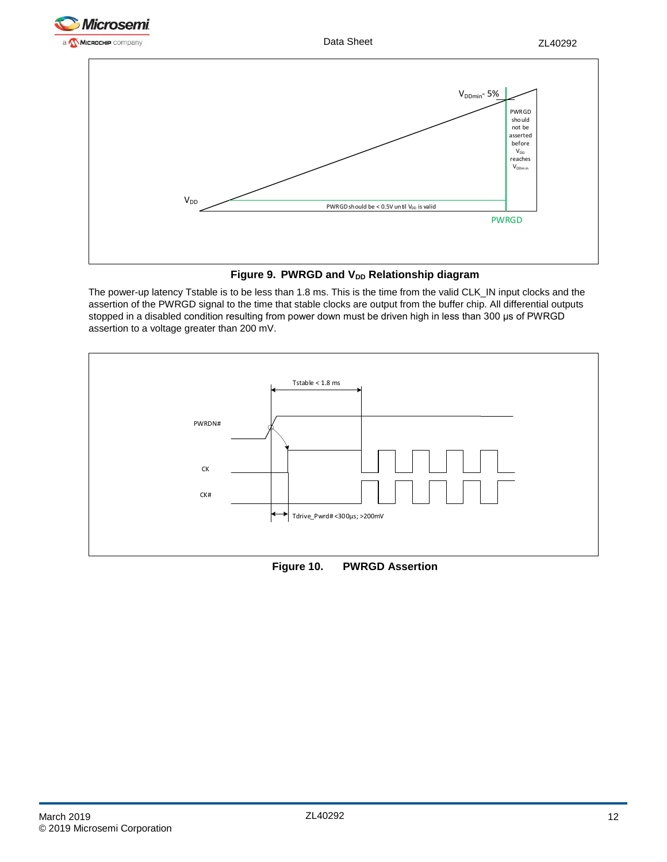



### <span id="page-11-0"></span>**Figure 9. PWRGD and V<sub>DD</sub> Relationship diagram**

The power-up latency Tstable is to be less than 1.8 ms. This is the time from the valid CLK\_IN input clocks and the assertion of the PWRGD signal to the time that stable clocks are output from the buffer chip. All differential outputs stopped in a disabled condition resulting from power down must be driven high in less than 300 μs of PWRGD assertion to a voltage greater than 200 mV.



<span id="page-11-1"></span>**Figure 10. PWRGD Assertion**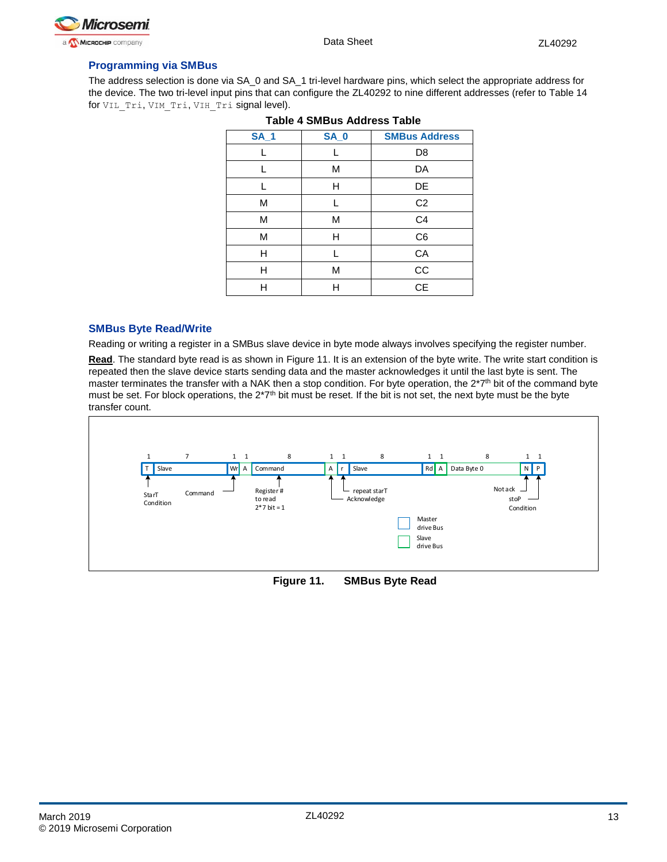

#### <span id="page-12-0"></span>**Programming via SMBus**

The address selection is done via SA\_0 and SA\_1 tri-level hardware pins, which select the appropriate address for the device. The two tri-level input pins that can configure the ZL40292 to nine different addresses (refer to [Table 14](#page-19-2) for VIL Tri, VIM Tri, VIH Tri signal level).

| <b>SA_1</b> | <b>SA_0</b> | <b>SMBus Address</b> |
|-------------|-------------|----------------------|
|             |             | D <sub>8</sub>       |
| L           | M           | DA                   |
| L           | Н           | DE                   |
| M           | L           | C <sub>2</sub>       |
| M           | M           | C <sub>4</sub>       |
| M           | Н           | C <sub>6</sub>       |
| Н           | L           | CA                   |
| Н           | M           | CC                   |
| н           | н           | СE                   |

#### <span id="page-12-3"></span>**Table 4 SMBus Address Table**

#### <span id="page-12-1"></span>**SMBus Byte Read/Write**

Reading or writing a register in a SMBus slave device in byte mode always involves specifying the register number.

**Read**. The standard byte read is as shown in [Figure 11.](#page-12-2) It is an extension of the byte write. The write start condition is repeated then the slave device starts sending data and the master acknowledges it until the last byte is sent. The master terminates the transfer with a NAK then a stop condition. For byte operation, the 2\*7<sup>th</sup> bit of the command byte must be set. For block operations, the  $2*7<sup>th</sup>$  bit must be reset. If the bit is not set, the next byte must be the byte transfer count.

<span id="page-12-2"></span>

**Figure 11. SMBus Byte Read**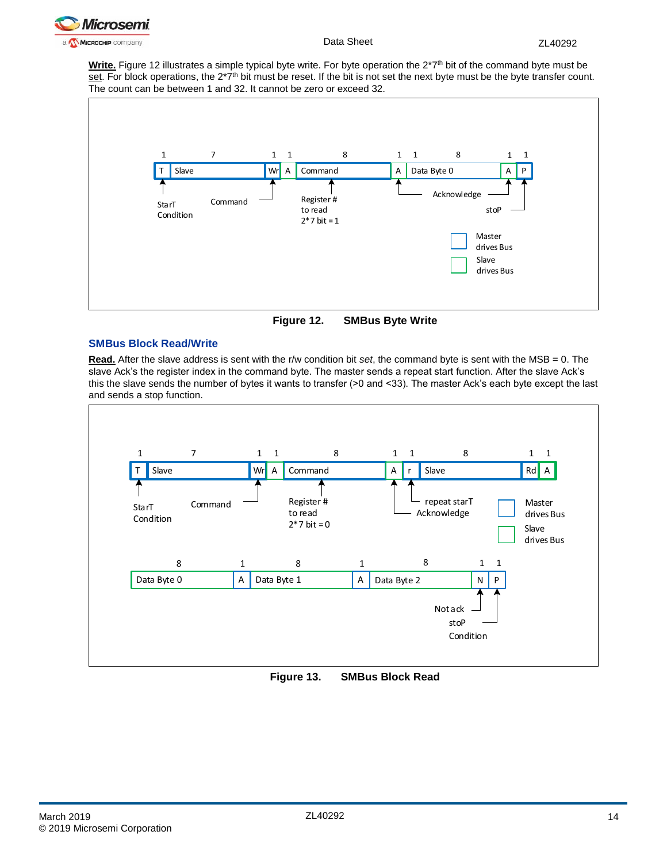

#### Data Sheet

Write. [Figure 12](#page-13-1) illustrates a simple typical byte write. For byte operation the 2<sup>\*7th</sup> bit of the command byte must be set. For block operations, the  $2*7<sup>th</sup>$  bit must be reset. If the bit is not set the next byte must be the byte transfer count. The count can be between 1 and 32. It cannot be zero or exceed 32.



**Figure 12. SMBus Byte Write** 

#### <span id="page-13-1"></span><span id="page-13-0"></span>**SMBus Block Read/Write**

**Read.** After the slave address is sent with the r/w condition bit *set*, the command byte is sent with the MSB = 0. The slave Ack's the register index in the command byte. The master sends a repeat start function. After the slave Ack's this the slave sends the number of bytes it wants to transfer (>0 and <33). The master Ack's each byte except the last and sends a stop function.



<span id="page-13-2"></span>**Figure 13. SMBus Block Read**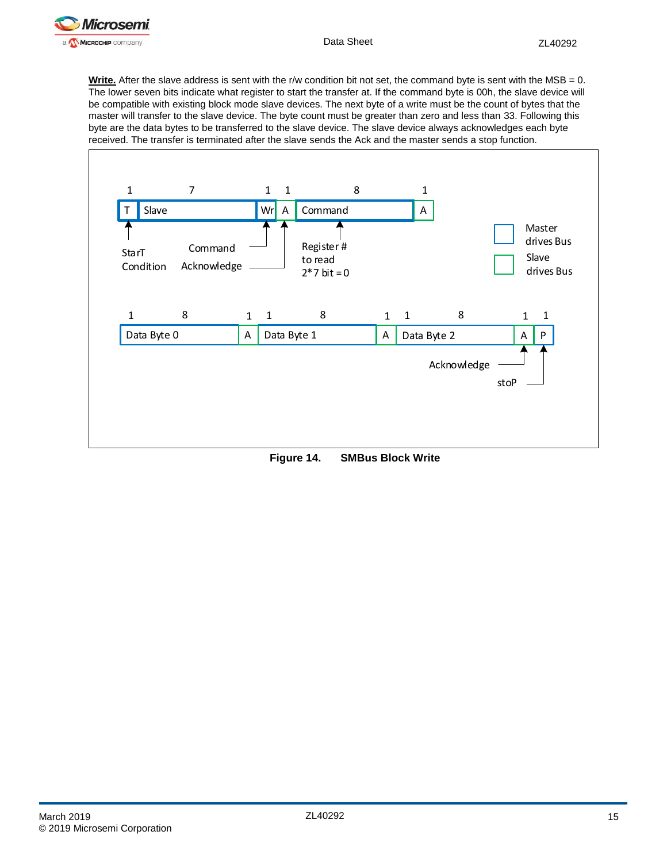

Write. After the slave address is sent with the r/w condition bit not set, the command byte is sent with the MSB = 0. The lower seven bits indicate what register to start the transfer at. If the command byte is 00h, the slave device will be compatible with existing block mode slave devices. The next byte of a write must be the count of bytes that the master will transfer to the slave device. The byte count must be greater than zero and less than 33. Following this byte are the data bytes to be transferred to the slave device. The slave device always acknowledges each byte received. The transfer is terminated after the slave sends the Ack and the master sends a stop function.



<span id="page-14-0"></span>**Figure 14. SMBus Block Write**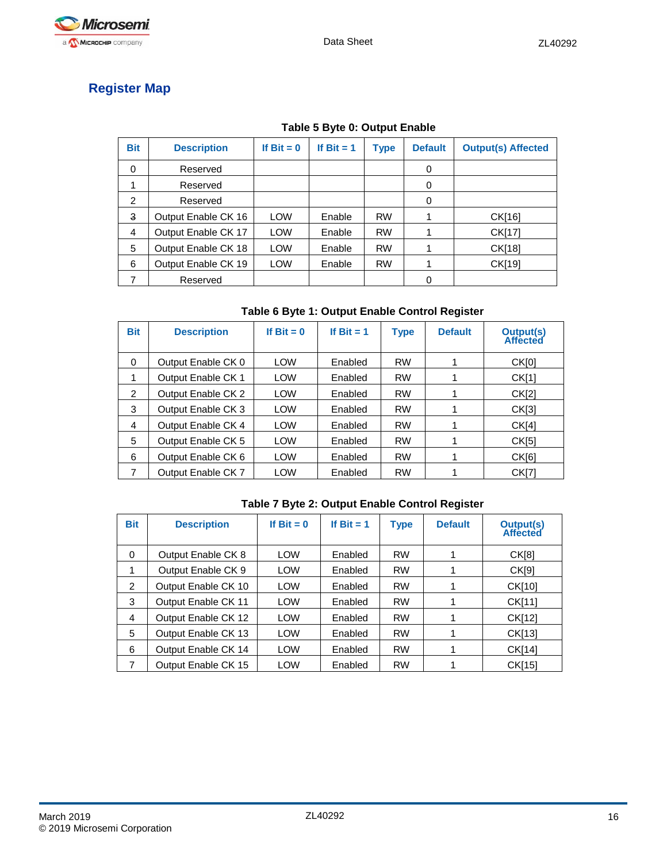

# <span id="page-15-0"></span>**Register Map**

| <b>Bit</b> | <b>Description</b>  | If $\text{Bit} = 0$ | If Bit $= 1$ | <b>Type</b> | <b>Default</b> | <b>Output(s) Affected</b> |
|------------|---------------------|---------------------|--------------|-------------|----------------|---------------------------|
| $\Omega$   | Reserved            |                     |              |             | 0              |                           |
|            | Reserved            |                     |              |             | 0              |                           |
| 2          | Reserved            |                     |              |             | 0              |                           |
| 3          | Output Enable CK 16 | <b>LOW</b>          | Enable       | <b>RW</b>   |                | CK[16]                    |
| 4          | Output Enable CK 17 | LOW                 | Enable       | <b>RW</b>   |                | CK[17]                    |
| 5          | Output Enable CK 18 | <b>LOW</b>          | Enable       | <b>RW</b>   |                | CK[18]                    |
| 6          | Output Enable CK 19 | <b>LOW</b>          | Enable       | <b>RW</b>   |                | CK[19]                    |
|            | Reserved            |                     |              |             | 0              |                           |

#### <span id="page-15-1"></span>**Table 5 Byte 0: Output Enable**

## <span id="page-15-2"></span>**Table 6 Byte 1: Output Enable Control Register**

| <b>Bit</b>     | <b>Description</b> | If $\text{Bit} = 0$ | If $Bit = 1$ | <b>Type</b> | <b>Default</b> | <b>Output(s)</b><br>Affected |
|----------------|--------------------|---------------------|--------------|-------------|----------------|------------------------------|
| $\Omega$       | Output Enable CK 0 | LOW                 | Enabled      | <b>RW</b>   | 1              | CK[0]                        |
| 1              | Output Enable CK 1 | LOW                 | Enabled      | <b>RW</b>   |                | CK[1]                        |
| $\overline{2}$ | Output Enable CK 2 | LOW                 | Enabled      | <b>RW</b>   |                | CK[2]                        |
| 3              | Output Enable CK 3 | LOW                 | Enabled      | <b>RW</b>   | 1              | CK[3]                        |
| 4              | Output Enable CK 4 | LOW                 | Enabled      | <b>RW</b>   |                | <b>CK[4]</b>                 |
| 5              | Output Enable CK 5 | LOW                 | Enabled      | <b>RW</b>   |                | CK[5]                        |
| 6              | Output Enable CK 6 | LOW                 | Enabled      | <b>RW</b>   | 1              | CK[6]                        |
| 7              | Output Enable CK 7 | LOW                 | Enabled      | <b>RW</b>   |                | <b>CK[7]</b>                 |

### <span id="page-15-3"></span>**Table 7 Byte 2: Output Enable Control Register**

| <b>Bit</b> | <b>Description</b>  | If $\text{Bit} = 0$ | If Bit $= 1$ | <b>Type</b> | <b>Default</b> | <b>Output(s)</b><br>Affected |
|------------|---------------------|---------------------|--------------|-------------|----------------|------------------------------|
| $\Omega$   | Output Enable CK 8  | <b>LOW</b>          | Enabled      | <b>RW</b>   |                | CK[8]                        |
|            | Output Enable CK 9  | LOW                 | Enabled      | <b>RW</b>   |                | CK[9]                        |
| 2          | Output Enable CK 10 | LOW                 | Enabled      | <b>RW</b>   |                | <b>CK[10]</b>                |
| 3          | Output Enable CK 11 | LOW                 | Enabled      | <b>RW</b>   |                | CK[11]                       |
| 4          | Output Enable CK 12 | LOW                 | Enabled      | <b>RW</b>   |                | CK[12]                       |
| 5          | Output Enable CK 13 | LOW                 | Enabled      | <b>RW</b>   |                | CK[13]                       |
| 6          | Output Enable CK 14 | LOW                 | Enabled      | <b>RW</b>   |                | CK[14]                       |
|            | Output Enable CK 15 | LOW                 | Enabled      | <b>RW</b>   |                | CK[15]                       |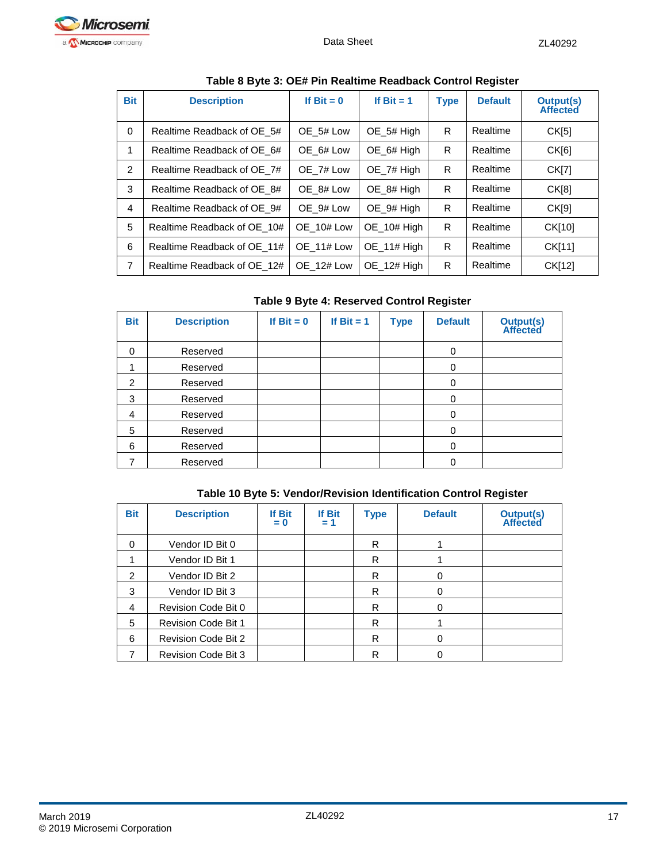

| <b>Bit</b>     | <b>Description</b>          | If $Bit = 0$ | If Bit $= 1$  | <b>Type</b> | <b>Default</b> | <b>Output(s)</b><br>Affected |
|----------------|-----------------------------|--------------|---------------|-------------|----------------|------------------------------|
| $\Omega$       | Realtime Readback of OE 5#  | OE 5# Low    | OE_5# High    | R           | Realtime       | CK[5]                        |
| 1              | Realtime Readback of OE 6#  | OE 6# Low    | OE_6# High    | R           | Realtime       | CK[6]                        |
| 2              | Realtime Readback of OE 7#  | OE 7# Low    | OE 7# High    | R           | Realtime       | CK[7]                        |
| 3              | Realtime Readback of OE 8#  | OE 8# Low    | OE_8# High    | R           | Realtime       | CK[8]                        |
| $\overline{4}$ | Realtime Readback of OE 9#  | OE 9# Low    | OE 9# High    | R           | Realtime       | CK[9]                        |
| 5              | Realtime Readback of OE 10# | OE_10# Low   | $OE_10# High$ | R           | Realtime       | CK[10]                       |
| 6              | Realtime Readback of OE 11# | OE 11# Low   | $OE_11# High$ | R           | Realtime       | CK[11]                       |
| $\overline{7}$ | Realtime Readback of OE 12# | OE 12# Low   | OE 12# High   | R           | Realtime       | CK[12]                       |

#### <span id="page-16-0"></span>**Table 8 Byte 3: OE# Pin Realtime Readback Control Register**

## <span id="page-16-1"></span>**Table 9 Byte 4: Reserved Control Register**

| <b>Bit</b> | <b>Description</b> | If $Bit = 0$ | If $Bit = 1$ | <b>Type</b> | <b>Default</b> | <b>Output(s)</b><br>Affected |
|------------|--------------------|--------------|--------------|-------------|----------------|------------------------------|
| 0          | Reserved           |              |              |             | 0              |                              |
|            | Reserved           |              |              |             | 0              |                              |
| 2          | Reserved           |              |              |             | 0              |                              |
| 3          | Reserved           |              |              |             | 0              |                              |
| 4          | Reserved           |              |              |             | 0              |                              |
| 5          | Reserved           |              |              |             | 0              |                              |
| 6          | Reserved           |              |              |             | 0              |                              |
|            | Reserved           |              |              |             |                |                              |

# <span id="page-16-2"></span>**Table 10 Byte 5: Vendor/Revision Identification Control Register**

| <b>Bit</b>     | <b>Description</b>         | If Bit<br>$= 0$ | If Bit<br>$= 1$ | <b>Type</b> | <b>Default</b> | <b>Output(s)</b><br>Affected |
|----------------|----------------------------|-----------------|-----------------|-------------|----------------|------------------------------|
| $\Omega$       | Vendor ID Bit 0            |                 |                 | R           |                |                              |
|                | Vendor ID Bit 1            |                 |                 | R           |                |                              |
| $\mathfrak{p}$ | Vendor ID Bit 2            |                 |                 | R           | 0              |                              |
| 3              | Vendor ID Bit 3            |                 |                 | R           | 0              |                              |
| $\overline{4}$ | Revision Code Bit 0        |                 |                 | R           | 0              |                              |
| 5              | Revision Code Bit 1        |                 |                 | R           |                |                              |
| 6              | <b>Revision Code Bit 2</b> |                 |                 | R           | 0              |                              |
|                | <b>Revision Code Bit 3</b> |                 |                 | R           |                |                              |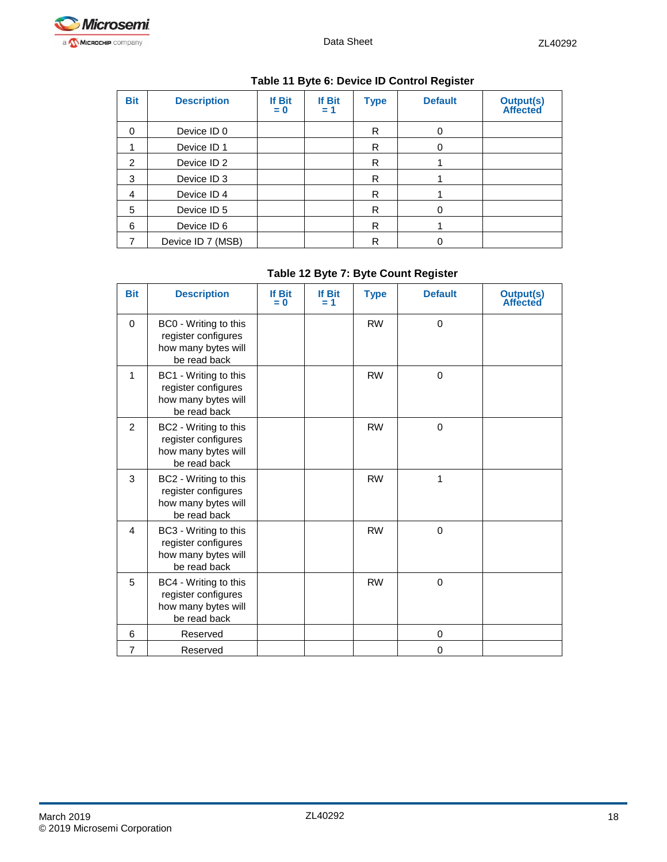

| <b>Bit</b> | <b>Description</b> | If Bit<br>$= 0$ | If Bit<br>$= 1$ | <b>Type</b> | <b>Default</b> | <b>Output(s)</b><br>Affected |
|------------|--------------------|-----------------|-----------------|-------------|----------------|------------------------------|
| 0          | Device ID 0        |                 |                 | R           | 0              |                              |
|            | Device ID 1        |                 |                 | R           | 0              |                              |
| 2          | Device ID 2        |                 |                 | R           |                |                              |
| 3          | Device ID 3        |                 |                 | R           |                |                              |
| 4          | Device ID 4        |                 |                 | R           |                |                              |
| 5          | Device ID 5        |                 |                 | R           | 0              |                              |
| 6          | Device ID 6        |                 |                 | R           |                |                              |
|            | Device ID 7 (MSB)  |                 |                 | R           |                |                              |

## <span id="page-17-0"></span>**Table 11 Byte 6: Device ID Control Register**

## <span id="page-17-1"></span>**Table 12 Byte 7: Byte Count Register**

| <b>Bit</b> | <b>Description</b>                                                                  | <b>If Bit</b><br>= 0 | If Bit<br>= 1 | <b>Type</b> | <b>Default</b> | <b>Output(s)</b><br>Affected |
|------------|-------------------------------------------------------------------------------------|----------------------|---------------|-------------|----------------|------------------------------|
| $\Omega$   | BC0 - Writing to this<br>register configures<br>how many bytes will<br>be read back |                      |               | <b>RW</b>   | 0              |                              |
| 1          | BC1 - Writing to this<br>register configures<br>how many bytes will<br>be read back |                      |               | <b>RW</b>   | 0              |                              |
| 2          | BC2 - Writing to this<br>register configures<br>how many bytes will<br>be read back |                      |               | <b>RW</b>   | 0              |                              |
| 3          | BC2 - Writing to this<br>register configures<br>how many bytes will<br>be read back |                      |               | <b>RW</b>   | 1              |                              |
| 4          | BC3 - Writing to this<br>register configures<br>how many bytes will<br>be read back |                      |               | <b>RW</b>   | 0              |                              |
| 5          | BC4 - Writing to this<br>register configures<br>how many bytes will<br>be read back |                      |               | <b>RW</b>   | $\mathbf 0$    |                              |
| 6          | Reserved                                                                            |                      |               |             | 0              |                              |
| 7          | Reserved                                                                            |                      |               |             | 0              |                              |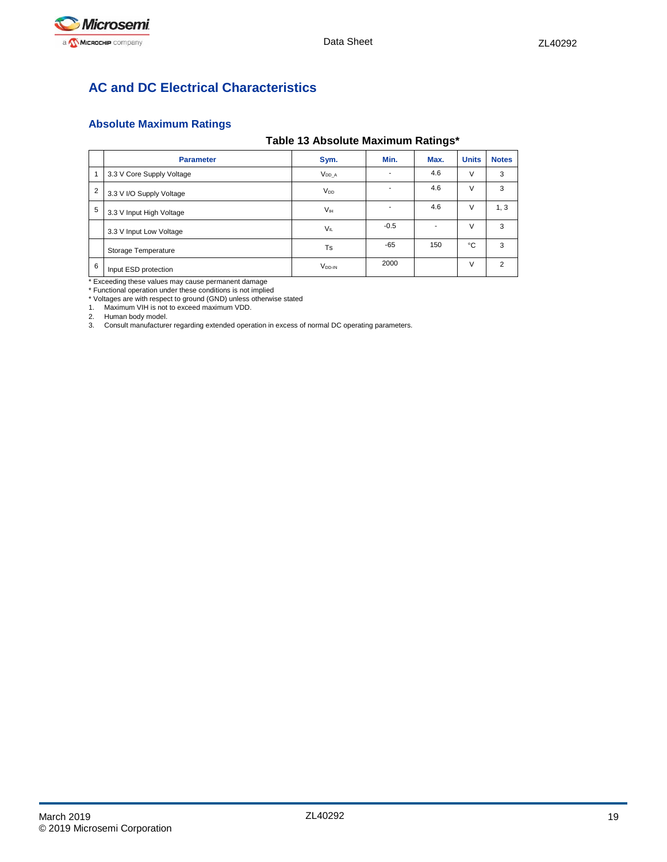

# <span id="page-18-0"></span>**AC and DC Electrical Characteristics**

### <span id="page-18-1"></span>**Absolute Maximum Ratings**

#### <span id="page-18-2"></span>**Table 13 Absolute Maximum Ratings\***

|   | <b>Parameter</b>          | Sym.               | Min.   | Max. | <b>Units</b> | <b>Notes</b>  |
|---|---------------------------|--------------------|--------|------|--------------|---------------|
|   | 3.3 V Core Supply Voltage | $V_{DD.A}$         | ۰      | 4.6  | V            | 3             |
| 2 | 3.3 V I/O Supply Voltage  | $V_{DD}$           | ۰      | 4.6  | V            | 3             |
| 5 | 3.3 V Input High Voltage  | V <sub>IH</sub>    | ۰      | 4.6  | ٧            | 1, 3          |
|   | 3.3 V Input Low Voltage   | $V_{IL}$           | $-0.5$ | ۰    | V            | 3             |
|   | Storage Temperature       | Ts                 | $-65$  | 150  | ۰c           | 3             |
| 6 | Input ESD protection      | V <sub>DD-IN</sub> | 2000   |      | $\vee$       | $\mathcal{P}$ |

\* Exceeding these values may cause permanent damage

\* Functional operation under these conditions is not implied

\* Voltages are with respect to ground (GND) unless otherwise stated 1. Maximum VIH is not to exceed maximum VDD.

2. Human body model.

3. Consult manufacturer regarding extended operation in excess of normal DC operating parameters.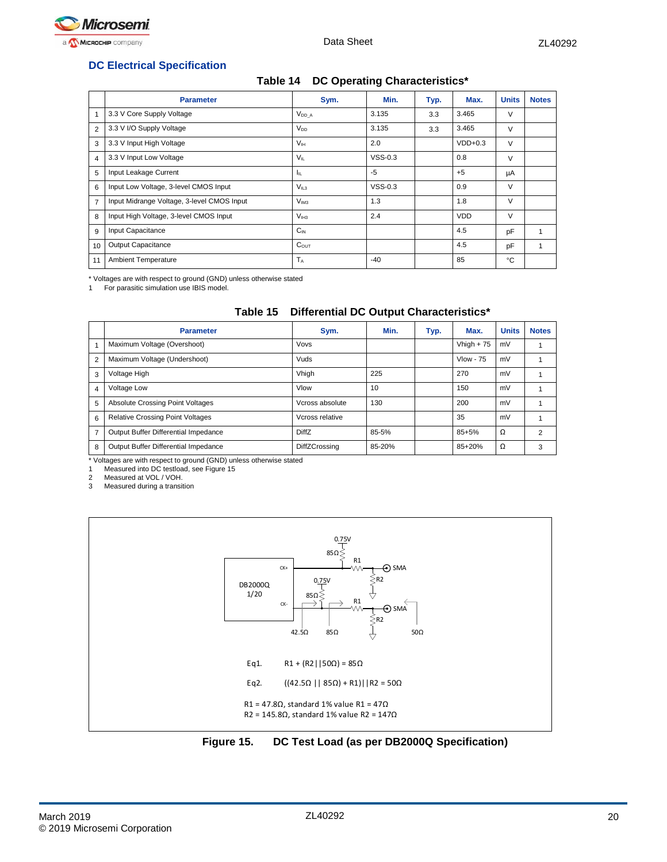

## <span id="page-19-0"></span>**DC Electrical Specification**

#### <span id="page-19-2"></span>**Table 14 DC Operating Characteristics\***

|                | <b>Parameter</b>                           | Sym.                  | Min.      | Typ. | Max.       | <b>Units</b> | <b>Notes</b> |
|----------------|--------------------------------------------|-----------------------|-----------|------|------------|--------------|--------------|
| 1              | 3.3 V Core Supply Voltage                  | V <sub>DD</sub> A     | 3.135     | 3.3  | 3.465      | V            |              |
| $\overline{2}$ | 3.3 V I/O Supply Voltage                   | <b>V<sub>DD</sub></b> | 3.135     | 3.3  | 3.465      | V            |              |
| 3              | 3.3 V Input High Voltage                   | V <sub>IH</sub>       | 2.0       |      | $VDD+0.3$  | V            |              |
| $\overline{4}$ | 3.3 V Input Low Voltage                    | $V_{IL}$              | $VSS-0.3$ |      | 0.8        | V            |              |
| 5              | Input Leakage Current                      | Īш                    | $-5$      |      | $+5$       | μA           |              |
| 6              | Input Low Voltage, 3-level CMOS Input      | $V_{IL3}$             | $VSS-0.3$ |      | 0.9        | V            |              |
| $\overline{7}$ | Input Midrange Voltage, 3-level CMOS Input | V <sub>IM3</sub>      | 1.3       |      | 1.8        | V            |              |
| 8              | Input High Voltage, 3-level CMOS Input     | $V_{H3}$              | 2.4       |      | <b>VDD</b> | V            |              |
| 9              | Input Capacitance                          | $C_{\text{IN}}$       |           |      | 4.5        | pF           | 1            |
| 10             | Output Capacitance                         | $C_{OUT}$             |           |      | 4.5        | pF           | 1            |
| 11             | <b>Ambient Temperature</b>                 | T <sub>A</sub>        | $-40$     |      | 85         | °C           |              |

\* Voltages are with respect to ground (GND) unless otherwise stated

1 For parasitic simulation use IBIS model.

<span id="page-19-3"></span>

|  | Table 15 Differential DC Output Characteristics* |
|--|--------------------------------------------------|
|--|--------------------------------------------------|

|                | <b>Parameter</b>                        | Sym.            | Min.   | Typ. | Max.          | <b>Units</b> | <b>Notes</b> |
|----------------|-----------------------------------------|-----------------|--------|------|---------------|--------------|--------------|
|                | Maximum Voltage (Overshoot)             | Vovs            |        |      | $V$ high + 75 | mV           |              |
| $\overline{2}$ | Maximum Voltage (Undershoot)            | <b>Vuds</b>     |        |      | $V$ low - 75  | mV           |              |
| 3              | Voltage High                            | Vhigh           | 225    |      | 270           | mV           |              |
| 4              | Voltage Low                             | Vlow            | 10     |      | 150           | mV           |              |
| 5              | <b>Absolute Crossing Point Voltages</b> | Vcross absolute | 130    |      | 200           | mV           |              |
| 6              | <b>Relative Crossing Point Voltages</b> | Vcross relative |        |      | 35            | mV           |              |
| 7              | Output Buffer Differential Impedance    | <b>DiffZ</b>    | 85-5%  |      | $85 + 5%$     | Ω            | 2            |
| 8              | Output Buffer Differential Impedance    | DiffZCrossing   | 85-20% |      | 85+20%        | Ω            | 3            |

\* Voltages are with respect to ground (GND) unless otherwise stated

1 Measured into DC testload, se[e Figure 15](#page-19-1)<br>2 Measured at VOL / VOH.

2 Measured at VOL / VOH.<br>3 Measured during a transit

Measured during a transition



<span id="page-19-1"></span>**Figure 15. DC Test Load (as per DB2000Q Specification)**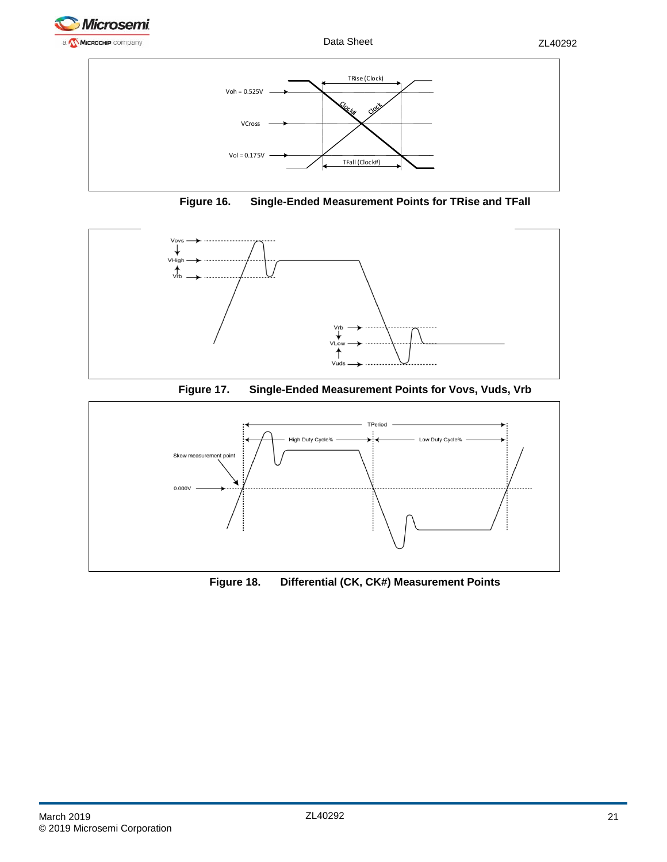



**Figure 16. Single-Ended Measurement Points for TRise and TFall**

<span id="page-20-0"></span>

**Figure 17. Single-Ended Measurement Points for Vovs, Vuds, Vrb**

<span id="page-20-1"></span>

<span id="page-20-2"></span>**Figure 18. Differential (CK, CK#) Measurement Points**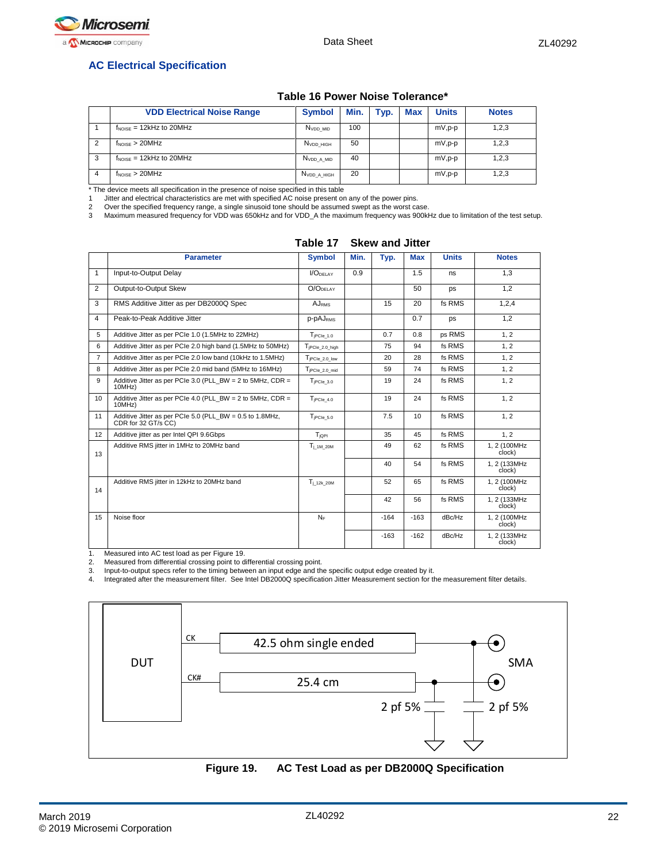

## <span id="page-21-0"></span>**AC Electrical Specification**

### <span id="page-21-2"></span>**Table 16 Power Noise Tolerance\***

|   | <b>VDD Electrical Noise Range</b>   | <b>Symbol</b>          | Min. | Typ. | <b>Max</b> | <b>Units</b> | <b>Notes</b> |
|---|-------------------------------------|------------------------|------|------|------------|--------------|--------------|
|   | $f_{\text{NOISE}} = 12kHz$ to 20MHz | $NVDD$ MID             | 100  |      |            | $mV, p-p$    | 1,2,3        |
| 2 | $f_{NOISE}$ > 20 $MHZ$              | $NVDD$ HIGH            | 50   |      |            | mV,p-p       | 1,2,3        |
| 3 | $f_{\text{NOISE}} = 12kHz$ to 20MHz | Nvdd_a_mid             | 40   |      |            | mV,p-p       | 1,2,3        |
| 4 | $f_{\text{NOISF}} > 20 \text{MHz}$  | $N_{\rm VDD\_A\_HIGH}$ | 20   |      |            | mV,p-p       | 1,2,3        |

\* The device meets all specification in the presence of noise specified in this table

1 Jitter and electrical characteristics are met with specified AC noise present on any of the power pins.

2 Over the specified frequency range, a single sinusoid tone should be assumed swept as the worst case.<br>3 Maximum measured frequency for VDD was 650kHz and for VDD\_A the maximum frequency was 900kh

3 Maximum measured frequency for VDD was 650kHz and for VDD\_A the maximum frequency was 900kHz due to limitation of the test setup.

|                | <b>Parameter</b>                                                                | <b>Symbol</b>           | Min. | Typ.   | <b>Max</b> | <b>Units</b> | <b>Notes</b>           |
|----------------|---------------------------------------------------------------------------------|-------------------------|------|--------|------------|--------------|------------------------|
| $\mathbf{1}$   | Input-to-Output Delay                                                           | I/O <sub>DELAY</sub>    | 0.9  |        | 1.5        | ns           | 1,3                    |
| 2              | Output-to-Output Skew                                                           | O/O <sub>DEI AY</sub>   |      |        | 50         | ps           | 1,2                    |
| 3              | RMS Additive Jitter as per DB2000Q Spec                                         | <b>AJRMS</b>            |      | 15     | 20         | fs RMS       | 1, 2, 4                |
| $\overline{4}$ | Peak-to-Peak Additive Jitter                                                    | <b>p-pAJRMS</b>         |      |        | 0.7        | ps           | 1,2                    |
| 5              | Additive Jitter as per PCIe 1.0 (1.5MHz to 22MHz)                               | $T_{\text{iPCle}_1.0}$  |      | 0.7    | 0.8        | ps RMS       | 1, 2                   |
| 6              | Additive Jitter as per PCIe 2.0 high band (1.5MHz to 50MHz)                     | TiPCle_2.0_high         |      | 75     | 94         | fs RMS       | 1, 2                   |
| $\overline{7}$ | Additive Jitter as per PCIe 2.0 low band (10kHz to 1.5MHz)                      | TiPCle 2.0 low          |      | 20     | 28         | fs RMS       | 1, 2                   |
| 8              | Additive Jitter as per PCIe 2.0 mid band (5MHz to 16MHz)                        | TiPCle 2.0 mid          |      | 59     | 74         | fs RMS       | 1, 2                   |
| 9              | Additive Jitter as per PCIe 3.0 (PLL BW = 2 to 5MHz, CDR =<br>10MHz)            | $TiPCIe_3.0$            |      | 19     | 24         | fs RMS       | 1, 2                   |
| 10             | Additive Jitter as per PCIe 4.0 (PLL_BW = 2 to 5MHz, CDR =<br>10MHz)            | $T_{iPCle_4.0}$         |      | 19     | 24         | fs RMS       | 1, 2                   |
| 11             | Additive Jitter as per PCIe 5.0 (PLL BW = 0.5 to 1.8MHz,<br>CDR for 32 GT/s CC) | $T_{\text{iPCle\_5.0}}$ |      | 7.5    | 10         | fs RMS       | 1, 2                   |
| 12             | Additive jitter as per Intel QPI 9.6Gbps                                        | Tiopi                   |      | 35     | 45         | fs RMS       | 1.2                    |
| 13             | Additive RMS jitter in 1MHz to 20MHz band                                       | $T_{L1M}$ 20M           |      | 49     | 62         | fs RMS       | 1.2 (100MHz)<br>clock) |
|                |                                                                                 |                         |      | 40     | 54         | fs RMS       | 1, 2 (133MHz<br>clock) |
| 14             | Additive RMS jitter in 12kHz to 20MHz band                                      | $Ti$ 12k 20M            |      | 52     | 65         | fs RMS       | 1, 2 (100MHz<br>clock) |
|                |                                                                                 |                         |      | 42     | 56         | fs RMS       | 1, 2 (133MHz<br>clock) |
| 15             | Noise floor                                                                     | $N_F$                   |      | $-164$ | $-163$     | dBc/Hz       | 1.2 (100MHz)<br>clock) |
|                |                                                                                 |                         |      | $-163$ | $-162$     | dBc/Hz       | 1, 2 (133MHz<br>clock) |

#### <span id="page-21-3"></span>**Table 17 Skew and Jitter**

1. Measured into AC test load as per [Figure 19.](#page-21-1)<br>2. Measured from differential crossing point to d<br>3. Input-to-output specs refer to the timing betwe

2. Measured from differential crossing point to differential crossing point.

Input-to-output specs refer to the timing between an input edge and the specific output edge created by it.

4. Integrated after the measurement filter. See Intel DB2000Q specification Jitter Measurement section for the measurement filter details.



<span id="page-21-1"></span>**Figure 19. AC Test Load as per DB2000Q Specification**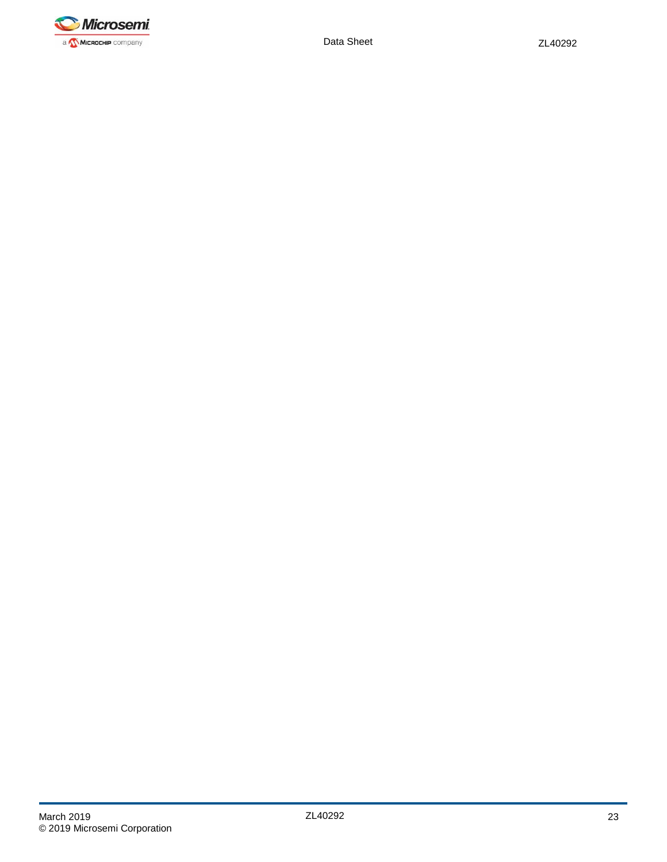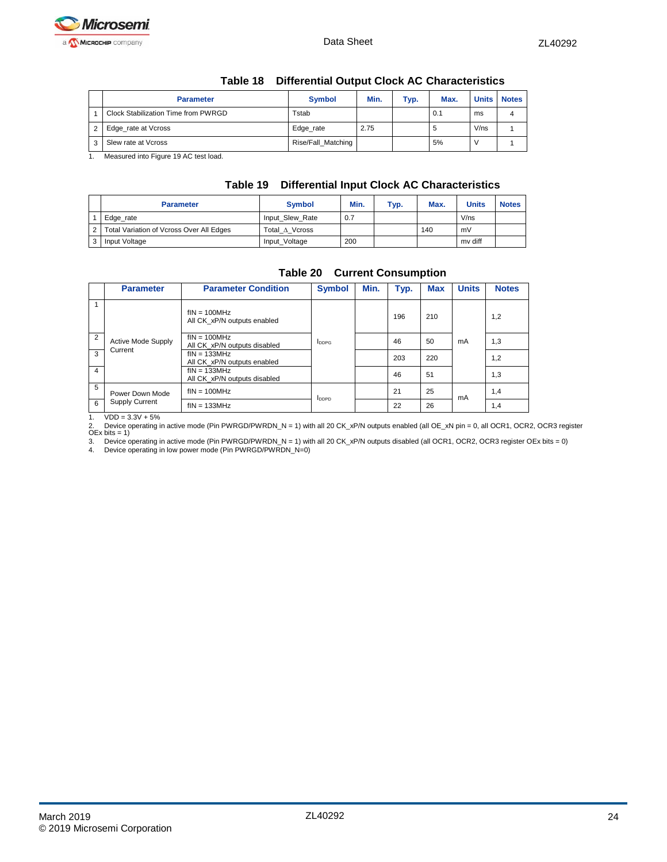

|                | <b>Parameter</b>                                                                  | <b>Symbol</b>      | Min. | Typ. | Max. |      | <b>Notes</b> |  |  |  |  |  |
|----------------|-----------------------------------------------------------------------------------|--------------------|------|------|------|------|--------------|--|--|--|--|--|
|                | <b>Clock Stabilization Time from PWRGD</b>                                        | Tstab              |      |      | 0.1  | ms   |              |  |  |  |  |  |
| $\overline{2}$ | Edge_rate at Vcross                                                               | Edge rate          | 2.75 |      |      | V/ns |              |  |  |  |  |  |
| 3              | Slew rate at Vcross                                                               | Rise/Fall Matching |      |      | 5%   |      |              |  |  |  |  |  |
|                | $\overline{a}$ as the set of $\overline{a}$ and $\overline{a}$ and $\overline{a}$ |                    |      |      |      |      |              |  |  |  |  |  |

### <span id="page-23-0"></span>**Table 18 Differential Output Clock AC Characteristics**

1. Measured int[o Figure 19](#page-21-1) AC test load.

#### <span id="page-23-1"></span>**Table 19 Differential Input Clock AC Characteristics**

|               | <b>Parameter</b>                         | <b>Symbol</b>            | Min. | Typ. | Max. | <b>Units</b> | <b>Notes</b> |
|---------------|------------------------------------------|--------------------------|------|------|------|--------------|--------------|
|               | Edge rate                                | Input Slew Rate          | 0.7  |      |      | V/ns         |              |
| $\mathcal{P}$ | Total Variation of Vcross Over All Edges | Total $\triangle$ Vcross |      |      | 140  | mV           |              |
|               | Input Voltage                            | Input_Voltage            | 200  |      |      | my diff      |              |

|                | <b>Parameter</b>                     | <b>Parameter Condition</b>                     | <b>Symbol</b>            | Min. | Typ. | <b>Max</b> | <b>Units</b> | <b>Notes</b> |
|----------------|--------------------------------------|------------------------------------------------|--------------------------|------|------|------------|--------------|--------------|
|                | <b>Active Mode Supply</b><br>Current | $fIN = 100MHz$<br>All CK xP/N outputs enabled  |                          |      | 196  | 210        |              | 1,2          |
| $\overline{2}$ |                                      | $fIN = 100MHz$<br>All CK xP/N outputs disabled | <b>I</b> <sub>DDPG</sub> |      | 46   | 50         | mA           | 1,3          |
| 3              |                                      | $fIN = 133MHz$<br>All CK xP/N outputs enabled  |                          |      | 203  | 220        |              | 1,2          |
| 4              |                                      | $fIN = 133MHz$<br>All CK xP/N outputs disabled |                          |      | 46   | 51         |              | 1,3          |
| 5              | Power Down Mode                      | $fIN = 100MHz$                                 | IDDPD                    |      | 21   | 25         | mA           | 1,4          |
| 6              | <b>Supply Current</b>                | $fIN = 133MHz$                                 |                          |      | 22   | 26         |              | 1,4          |

#### <span id="page-23-2"></span>**Table 20 Current Consumption**

1.  $VDD = 3.3V + 5%$ 

2. Device operating in active mode (Pin PWRGD/PWRDN\_N = 1) with all 20 CK\_xP/N outputs enabled (all OE\_xN pin = 0, all OCR1, OCR2, OCR3 register OEx bits = 1)

3. Device operating in active mode (Pin PWRGD/PWRDN\_N = 1) with all 20 CK\_xP/N outputs disabled (all OCR1, OCR2, OCR3 register OEx bits = 0)

4. Device operating in low power mode (Pin PWRGD/PWRDN\_N=0)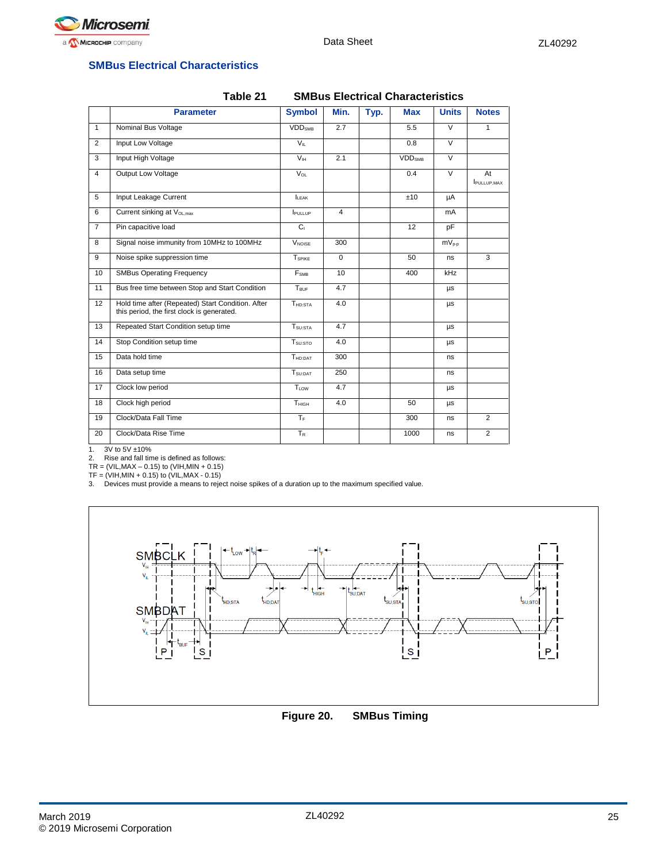## <span id="page-24-0"></span>**SMBus Electrical Characteristics**

**Microsemi** a **Wichochip** company

|                |                                                                                                 | mbus Eiccu icai Onaracteristics |                |      |                           |                         |                   |  |  |
|----------------|-------------------------------------------------------------------------------------------------|---------------------------------|----------------|------|---------------------------|-------------------------|-------------------|--|--|
|                | <b>Parameter</b>                                                                                | <b>Symbol</b>                   | Min.           | Typ. | <b>Max</b>                | <b>Units</b>            | <b>Notes</b>      |  |  |
| $\mathbf{1}$   | Nominal Bus Voltage                                                                             | <b>VDD</b> <sub>SMB</sub>       | 2.7            |      | 5.5                       | $\overline{V}$          | $\mathbf{1}$      |  |  |
| $\overline{2}$ | Input Low Voltage                                                                               | $V_{\parallel}$                 |                |      | 0.8                       | $\overline{V}$          |                   |  |  |
| 3              | Input High Voltage                                                                              | V <sub>H</sub>                  | 2.1            |      | <b>VDD</b> <sub>SMB</sub> | $\overline{\mathsf{v}}$ |                   |  |  |
| $\overline{4}$ | Output Low Voltage                                                                              | $V_{OL}$                        |                |      | 0.4                       | $\overline{V}$          | At<br>PULLUP, MAX |  |  |
| 5              | Input Leakage Current                                                                           | LEAK                            |                |      | ±10                       | μA                      |                   |  |  |
| 6              | Current sinking at V <sub>OL.max</sub>                                                          | IPULLUP                         | $\overline{4}$ |      |                           | mA                      |                   |  |  |
| $\overline{7}$ | Pin capacitive load                                                                             | C <sub>1</sub>                  |                |      | 12                        | pF                      |                   |  |  |
| 8              | Signal noise immunity from 10MHz to 100MHz                                                      | VNOISE                          | 300            |      |                           | $mV_{p-p}$              |                   |  |  |
| $\overline{9}$ | Noise spike suppression time                                                                    | TSPIKE                          | $\mathbf 0$    |      | 50                        | ns                      | 3                 |  |  |
| 10             | <b>SMBus Operating Frequency</b>                                                                | <b>F</b> <sub>SMB</sub>         | 10             |      | 400                       | kHz                     |                   |  |  |
| 11             | Bus free time between Stop and Start Condition                                                  | TBUF                            | 4.7            |      |                           | μs                      |                   |  |  |
| 12             | Hold time after (Repeated) Start Condition. After<br>this period, the first clock is generated. | THD:STA                         | 4.0            |      |                           | μs                      |                   |  |  |
| 13             | Repeated Start Condition setup time                                                             | T <sub>SU:STA</sub>             | 4.7            |      |                           | $\mu s$                 |                   |  |  |
| 14             | Stop Condition setup time                                                                       | $T_{\scriptstyle\text{SU:STO}}$ | 4.0            |      |                           | μs                      |                   |  |  |
| 15             | Data hold time                                                                                  | T <sub>HD:DAT</sub>             | 300            |      |                           | ns                      |                   |  |  |
| 16             | Data setup time                                                                                 | T <sub>SU:DAT</sub>             | 250            |      |                           | ns                      |                   |  |  |
| 17             | Clock low period                                                                                | <b>T</b> <sub>I</sub> ow        | 4.7            |      |                           | μs                      |                   |  |  |
| 18             | Clock high period                                                                               | THIGH                           | 4.0            |      | 50                        | μs                      |                   |  |  |
| 19             | Clock/Data Fall Time                                                                            | <b>TF</b>                       |                |      | 300                       | ns                      | $\overline{2}$    |  |  |
| 20             | Clock/Data Rise Time                                                                            | $T_R$                           |                |      | 1000                      | ns                      | $\overline{2}$    |  |  |
|                |                                                                                                 |                                 |                |      |                           |                         |                   |  |  |

#### <span id="page-24-2"></span>**Table 21 SMBus Electrical Characteristics**

1. 3V to 5V ±10% 2. Rise and fall time is defined as follows:

TR = (VIL,MAX – 0.15) to (VIH,MIN + 0.15)

 $TF = (VIH, MIN + 0.15)$  to  $(VIL, MAX - 0.15)$ 

3. Devices must provide a means to reject noise spikes of a duration up to the maximum specified value.



<span id="page-24-1"></span>**Figure 20. SMBus Timing**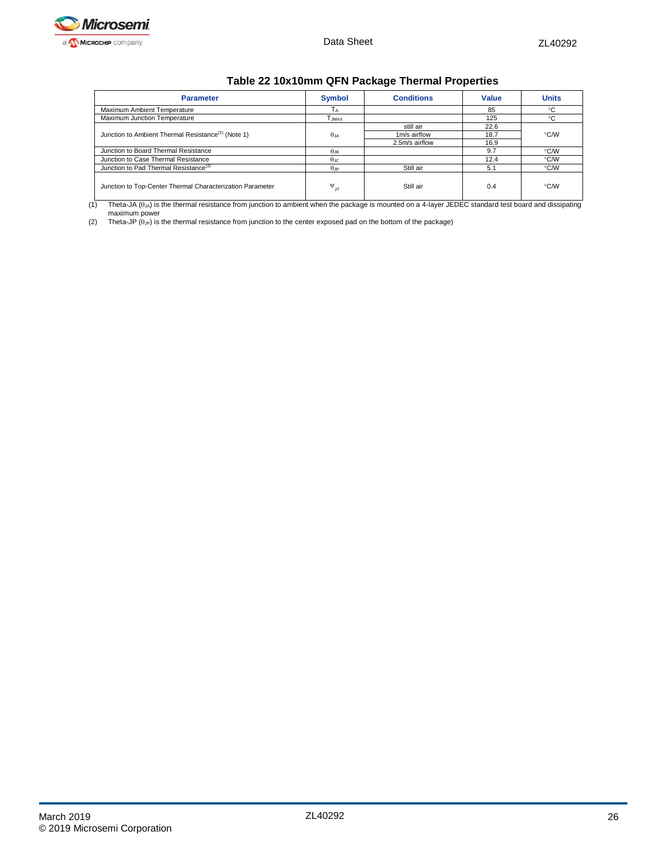

#### <span id="page-25-0"></span>**Table 22 10x10mm QFN Package Thermal Properties**

| <b>Parameter</b>                                               | <b>Symbol</b>      | <b>Conditions</b> | <b>Value</b> | <b>Units</b>  |
|----------------------------------------------------------------|--------------------|-------------------|--------------|---------------|
| Maximum Ambient Temperature                                    | Iа                 |                   | 85           | °C            |
| Maximum Junction Temperature                                   | <b>JMAX</b>        |                   | 125          | °C            |
|                                                                |                    | still air         | 22.6         |               |
| Junction to Ambient Thermal Resistance <sup>(1)</sup> (Note 1) | $\theta$ JA        | 1m/s airflow      | 18.7         | °C⁄W          |
|                                                                |                    | 2.5m/s airflow    | 16.9         |               |
| Junction to Board Thermal Resistance                           | $\theta$ JB        |                   | 9.7          | °C⁄W          |
| Junction to Case Thermal Resistance                            | $\theta$ JC        |                   | 12.4         | °C⁄W          |
| Junction to Pad Thermal Resistance <sup>(2)</sup>              | $\theta$ .iP       | Still air         | 5.1          | °C⁄W          |
| Junction to Top-Center Thermal Characterization Parameter      | $\Psi_{\text{JT}}$ | Still air         | 0.4          | $\degree$ C/W |

(1) Theta-JA (θ, 
a) is the thermal resistance from junction to ambient when the package is mounted on a 4-layer JEDEC standard test board and dissipating maximum power

(2) Theta-JP  $(\theta_{\text{JP}})$  is the thermal resistance from junction to the center exposed pad on the bottom of the package)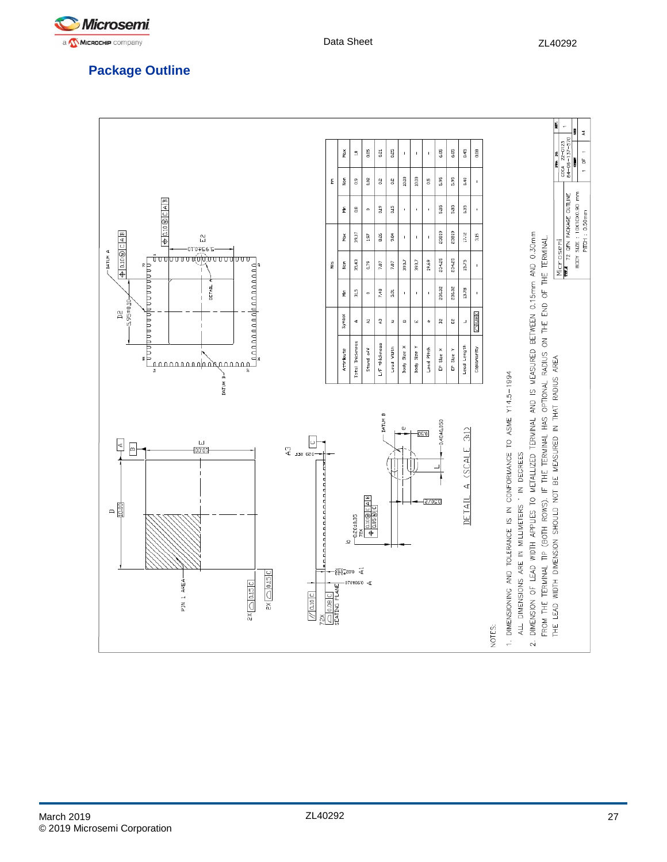

# <span id="page-26-0"></span>**Package Outline**

|                                                                                                               |                                                                                                                                                   |                                                                                                                    |                             |                                                         |                                 |                |                         |                    |              |                |                 |           |                                     |                      |                                                                                                                      |                                                                                                                                                                                                                                    | l                                                                   | $\overline{a}$                         | ij<br>ž                                    |
|---------------------------------------------------------------------------------------------------------------|---------------------------------------------------------------------------------------------------------------------------------------------------|--------------------------------------------------------------------------------------------------------------------|-----------------------------|---------------------------------------------------------|---------------------------------|----------------|-------------------------|--------------------|--------------|----------------|-----------------|-----------|-------------------------------------|----------------------|----------------------------------------------------------------------------------------------------------------------|------------------------------------------------------------------------------------------------------------------------------------------------------------------------------------------------------------------------------------|---------------------------------------------------------------------|----------------------------------------|--------------------------------------------|
|                                                                                                               |                                                                                                                                                   |                                                                                                                    | Max                         | $\Xi$                                                   | 0.05                            | ū.21           | 0.25                    | $\mathbf{I}$       | $\mathbf{I}$ | $\mathbf{I}$   | 6.05            | 6.05      | 0.45                                | 80,0                 |                                                                                                                      |                                                                                                                                                                                                                                    | <b>DWG</b> NO.                                                      | CDCA 22-0123<br>84-06-137-570          | ł,<br>ð-                                   |
|                                                                                                               |                                                                                                                                                   | 톹                                                                                                                  | χō                          | $\mathop{\mathrm{e}}\nolimits$                          | 0.02                            | $^{\rm a}$     | $^{\rm o}_\text{S}$     | 10.00              | 10,00        | $\ddot{5}$     | 5.95            | 5,95      | 0.40                                |                      |                                                                                                                      |                                                                                                                                                                                                                                    |                                                                     |                                        |                                            |
| $\frac{1}{2}$ 0.10 $\circ$ C A B                                                                              |                                                                                                                                                   |                                                                                                                    | 훞                           | $_{\rm g}^{\rm g}$                                      | $\circ$                         | $\frac{9}{6}$  | $\frac{15}{6}$          |                    | $\mathbf{I}$ | $\mathbf{I}$   | 5.85            | 585       | 0.35                                |                      |                                                                                                                      |                                                                                                                                                                                                                                    |                                                                     | MICPOSEMI<br>WE 72 QFN PACKAGE OUTLINE | BODY SIZE : 10X10X0.90 mm<br>PICH : 0.50mm |
| Σ,<br>2'92∓0'10                                                                                               |                                                                                                                                                   |                                                                                                                    | Max                         | 39,37                                                   | 1.97                            | 8.26           | 9.84                    | $\mathbf I$        | $\mathbf{I}$ | $\mathbf{I}$   | 238.19          | 238.19    | 17.72                               | $\frac{15}{21}$      |                                                                                                                      |                                                                                                                                                                                                                                    |                                                                     |                                        |                                            |
| $\leftarrow$ 0.10 $\circ$ C A B<br><b>DATUM A</b><br><del>ນື່ ບາງ<mark>ບານ ບາ</mark>ແຫຼ່ງນີ້ນານານ</del><br>ᡰᡨ |                                                                                                                                                   | ₩s                                                                                                                 | $\frac{\epsilon}{2}$        | 35.43                                                   | 0.79                            | 7.87           | 7.87                    | 393.7              | 393.7        | 1969           | 234,25          | 234.25    | 15.75                               | $\mathbf{I}$         |                                                                                                                      |                                                                                                                                                                                                                                    |                                                                     |                                        |                                            |
| <b>DETAIL</b>                                                                                                 |                                                                                                                                                   |                                                                                                                    | 듩                           | 31.5                                                    | $\circ$                         | 7.48           | $\mathbb{S}.\mathbb{S}$ | $\mathbf{I}$       | $\mathbf{I}$ | $\mathbf{I}$   | 230.32          | 230.32    | 13.78                               | $\mathbf{I}$         |                                                                                                                      |                                                                                                                                                                                                                                    |                                                                     |                                        |                                            |
| ັບປະເທດການ ແລະ<br><sub>បី</sub> បាបបាបបាបបាបបាបបា<br>595±0.10<br>$\tilde{E}$                                  |                                                                                                                                                   |                                                                                                                    | Symbol                      | 4                                                       | $\overline{\mathbf{a}}$         | 2              | $\mathfrak{Q}$          | $\hskip 10pt \Box$ | ш            | $\pmb{\omega}$ | $\mathbbmss{2}$ | n,        | $\bar{\phantom{a}}$                 | $\bigcap \{0.08\}$ C |                                                                                                                      |                                                                                                                                                                                                                                    |                                                                     |                                        |                                            |
|                                                                                                               |                                                                                                                                                   |                                                                                                                    | Attribute                   | Total Thickness                                         | Stand off                       | L/F thickness  | Lead Width              | Body Size X        | Body Size Y  | Lead Pitch     | $EP$ Size $X$   | EP Size Y | Lead Length                         | Coplanarity          |                                                                                                                      |                                                                                                                                                                                                                                    |                                                                     |                                        |                                            |
| DATUM B-<br>ш<br>¢<br>m<br>00'01<br>$\frac{1}{2}$<br>$2x \boxed{0.15}$ C<br>PIN 1 AREA<br>$2X \cap 0.15$      | $\cup$<br>$\begin{array}{c}\n\sim\\[-10pt]\scriptstyle\bigcirc\\[-10pt]\scriptstyle\bigcirc\\[-10pt]\scriptstyle\bigcirc\end{array}$<br>// 0,10 C | $\begin{array}{c}\n 72X \\  \boxed{\bigcirc} \left[ 0.08 \right] \boxed{C} \\  \text{SEATING PLANE}\n \end{array}$ | Ω<br>$0.05^{+0.02}_{+0.03}$ | $-0.20 \pm 0.05$<br>72X<br>$\vec{a}$<br>$010 + 060 = 0$ | $+\frac{0.10@ C A B}{0.05@ C }$ | <b>B MUTAT</b> |                         | $\mathbf 0$        | $0.50 -$     | 0.50/2         | $0.40 + 0.050$  |           | 3:1)<br><b>SCALE</b><br>⋖<br>DETAIL | NOTES:               | 1. DIMENSIONING AND TOLERANCE IS IN CONFORMANCE TO ASME Y14.5-1994<br>ALL DIMENSIONS ARE IN MILLIMETERS * IN DEGREES | DIMENSION OF LEAD WIDTH APPLIES TO METALLIZED TERMINAL AND IS MEASURED BETWEEN 0.15mm AND 0.30mm<br>FROM THE TERMINAL TIP (BOTH ROWS). IF THE TERMINAL HAS OPTIONAL RADIUS ON THE END OF THE TERMINAL,<br>$\overline{\mathcal{N}}$ | THE LEAD WIDTH DIMENSION SHOULD NOT BE MEASURED IN THAT RADIUS AREA |                                        |                                            |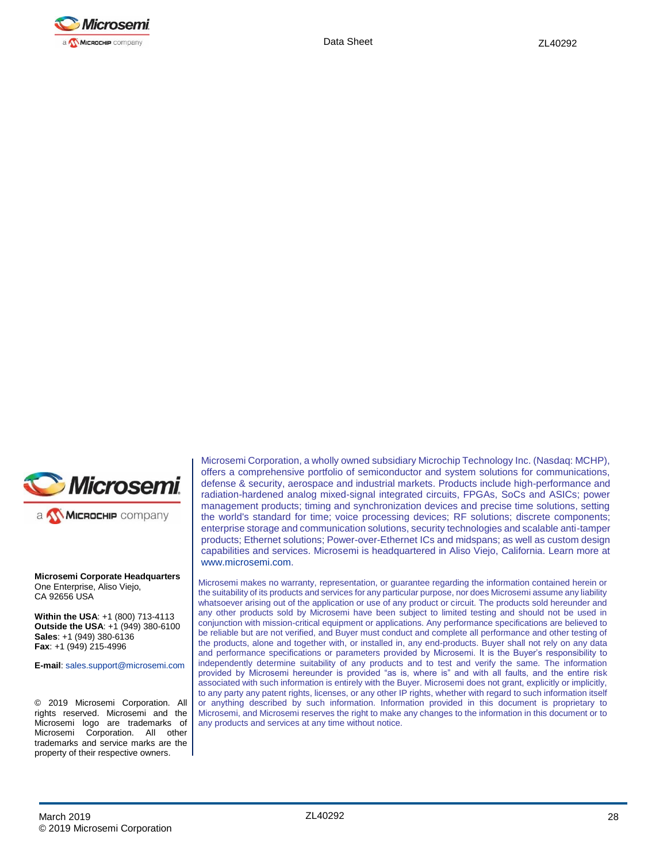



**Microsemi Corporate Headquarters** One Enterprise, Aliso Viejo, CA 92656 USA

**Within the USA**: +1 (800) 713-4113 **Outside the USA**: +1 (949) 380-6100 **Sales**: +1 (949) 380-6136 **Fax**: +1 (949) 215-4996

**E-mail**[: sales.support@microsemi.com](mailto:sales.support@microsemi.com)

© 2019 Microsemi Corporation. All rights reserved. Microsemi and the Microsemi logo are trademarks of Microsemi Corporation. All other trademarks and service marks are the property of their respective owners.

Microsemi Corporation, a wholly owned subsidiary Microchip Technology Inc. (Nasdaq: MCHP), offers a comprehensive portfolio of semiconductor and system solutions for communications, defense & security, aerospace and industrial markets. Products include high-performance and radiation-hardened analog mixed-signal integrated circuits, FPGAs, SoCs and ASICs; power management products; timing and synchronization devices and precise time solutions, setting the world's standard for time; voice processing devices; RF solutions; discrete components; enterprise storage and communication solutions, security technologies and scalable anti-tamper products; Ethernet solutions; Power-over-Ethernet ICs and midspans; as well as custom design capabilities and services. Microsemi is headquartered in Aliso Viejo, California. Learn more at [www.microsemi.com.](file://///stove/windowsusers$/Chris.duQuesnay/My%20Documents/Appnotes/Microsemi/Redwood/Redwood_jitter/www.microsemi.com)

Microsemi makes no warranty, representation, or guarantee regarding the information contained herein or the suitability of its products and services for any particular purpose, nor does Microsemi assume any liability whatsoever arising out of the application or use of any product or circuit. The products sold hereunder and any other products sold by Microsemi have been subject to limited testing and should not be used in conjunction with mission-critical equipment or applications. Any performance specifications are believed to be reliable but are not verified, and Buyer must conduct and complete all performance and other testing of the products, alone and together with, or installed in, any end-products. Buyer shall not rely on any data and performance specifications or parameters provided by Microsemi. It is the Buyer's responsibility to independently determine suitability of any products and to test and verify the same. The information provided by Microsemi hereunder is provided "as is, where is" and with all faults, and the entire risk associated with such information is entirely with the Buyer. Microsemi does not grant, explicitly or implicitly, to any party any patent rights, licenses, or any other IP rights, whether with regard to such information itself or anything described by such information. Information provided in this document is proprietary to Microsemi, and Microsemi reserves the right to make any changes to the information in this document or to any products and services at any time without notice.